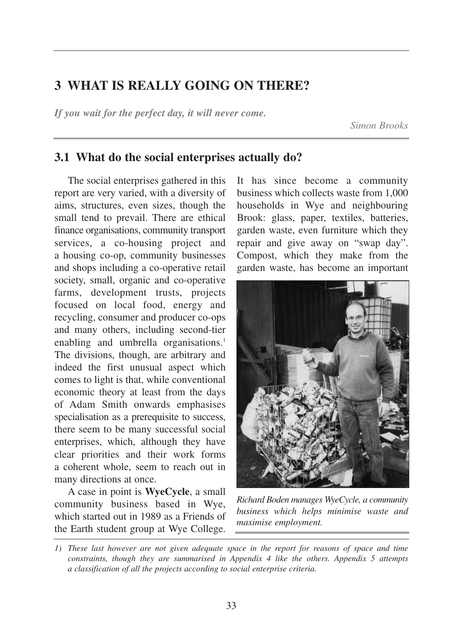# **3 WHAT IS REALLY GOING ON THERE?**

*If you wait for the perfect day, it will never come.*

*Simon Brooks*

## **3.1 What do the social enterprises actually do?**

The social enterprises gathered in this report are very varied, with a diversity of aims, structures, even sizes, though the small tend to prevail. There are ethical finance organisations, community transport services, a co-housing project and a housing co-op, community businesses and shops including a co-operative retail society, small, organic and co-operative farms, development trusts, projects focused on local food, energy and recycling, consumer and producer co-ops and many others, including second-tier enabling and umbrella organisations.<sup>1</sup> The divisions, though, are arbitrary and indeed the first unusual aspect which comes to light is that, while conventional economic theory at least from the days of Adam Smith onwards emphasises specialisation as a prerequisite to success, there seem to be many successful social enterprises, which, although they have clear priorities and their work forms a coherent whole, seem to reach out in many directions at once.

A case in point is **WyeCycle**, a small community business based in Wye, which started out in 1989 as a Friends of the Earth student group at Wye College.

It has since become a community business which collects waste from 1,000 households in Wye and neighbouring Brook: glass, paper, textiles, batteries, garden waste, even furniture which they repair and give away on "swap day". Compost, which they make from the garden waste, has become an important



*Richard Boden manages WyeCycle, a community business which helps minimise waste and maximise employment.*

*<sup>1)</sup> These last however are not given adequate space in the report for reasons of space and time constraints, though they are summarised in Appendix 4 like the others. Appendix 5 attempts a classification of all the projects according to social enterprise criteria.*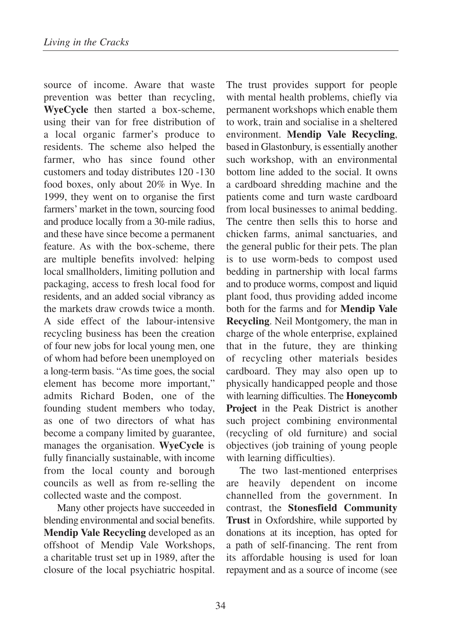source of income. Aware that waste prevention was better than recycling, **WyeCycle** then started a box-scheme, using their van for free distribution of a local organic farmer's produce to residents. The scheme also helped the farmer, who has since found other customers and today distributes 120 -130 food boxes, only about 20% in Wye. In 1999, they went on to organise the first farmers' market in the town, sourcing food and produce locally from a 30-mile radius, and these have since become a permanent feature. As with the box-scheme, there are multiple benefits involved: helping local smallholders, limiting pollution and packaging, access to fresh local food for residents, and an added social vibrancy as the markets draw crowds twice a month. A side effect of the labour-intensive recycling business has been the creation of four new jobs for local young men, one of whom had before been unemployed on a long-term basis. "As time goes, the social element has become more important," admits Richard Boden, one of the founding student members who today, as one of two directors of what has become a company limited by guarantee, manages the organisation. **WyeCycle** is fully financially sustainable, with income from the local county and borough councils as well as from re-selling the collected waste and the compost.

Many other projects have succeeded in blending environmental and social benefits. **Mendip Vale Recycling** developed as an offshoot of Mendip Vale Workshops, a charitable trust set up in 1989, after the closure of the local psychiatric hospital.

The trust provides support for people with mental health problems, chiefly via permanent workshops which enable them to work, train and socialise in a sheltered environment. **Mendip Vale Recycling**, based in Glastonbury, is essentially another such workshop, with an environmental bottom line added to the social. It owns a cardboard shredding machine and the patients come and turn waste cardboard from local businesses to animal bedding. The centre then sells this to horse and chicken farms, animal sanctuaries, and the general public for their pets. The plan is to use worm-beds to compost used bedding in partnership with local farms and to produce worms, compost and liquid plant food, thus providing added income both for the farms and for **Mendip Vale Recycling**. Neil Montgomery, the man in charge of the whole enterprise, explained that in the future, they are thinking of recycling other materials besides cardboard. They may also open up to physically handicapped people and those with learning difficulties. The **Honeycomb Project** in the Peak District is another such project combining environmental (recycling of old furniture) and social objectives (job training of young people with learning difficulties).

The two last-mentioned enterprises are heavily dependent on income channelled from the government. In contrast, the **Stonesfield Community Trust** in Oxfordshire, while supported by donations at its inception, has opted for a path of self-financing. The rent from its affordable housing is used for loan repayment and as a source of income (see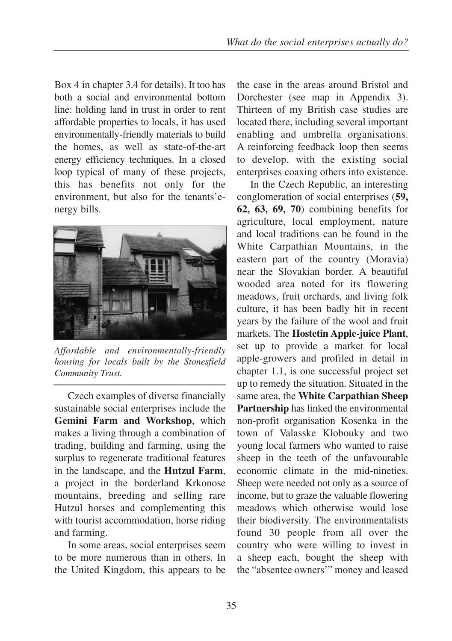Box 4 in chapter 3.4 for details). It too has both a social and environmental bottom line: holding land in trust in order to rent affordable properties to locals, it has used environmentally-friendly materials to build the homes, as well as state-of-the-art energy efficiency techniques. In a closed loop typical of many of these projects, this has benefits not only for the environment, but also for the tenants'energy bills.



*Affordable and environmentally-friendly housing for locals built by the Stonesfield Community Trust.* 

Czech examples of diverse financially sustainable social enterprises include the **Gemini Farm and Workshop**, which makes a living through a combination of trading, building and farming, using the surplus to regenerate traditional features in the landscape, and the **Hutzul Farm**, a project in the borderland Krkonose mountains, breeding and selling rare Hutzul horses and complementing this with tourist accommodation, horse riding and farming.

In some areas, social enterprises seem to be more numerous than in others. In the United Kingdom, this appears to be the case in the areas around Bristol and Dorchester (see map in Appendix 3). Thirteen of my British case studies are located there, including several important enabling and umbrella organisations. A reinforcing feedback loop then seems to develop, with the existing social enterprises coaxing others into existence.

In the Czech Republic, an interesting conglomeration of social enterprises (**59, 62, 63, 69, 70**) combining benefits for agriculture, local employment, nature and local traditions can be found in the White Carpathian Mountains, in the eastern part of the country (Moravia) near the Slovakian border. A beautiful wooded area noted for its flowering meadows, fruit orchards, and living folk culture, it has been badly hit in recent years by the failure of the wool and fruit markets. The **Hostetin Apple-juice Plant**, set up to provide a market for local apple-growers and profiled in detail in chapter 1.1, is one successful project set up to remedy the situation. Situated in the same area, the **White Carpathian Sheep Partnership** has linked the environmental non-profit organisation Kosenka in the town of Valasske Klobouky and two young local farmers who wanted to raise sheep in the teeth of the unfavourable economic climate in the mid-nineties. Sheep were needed not only as a source of income, but to graze the valuable flowering meadows which otherwise would lose their biodiversity. The environmentalists found 30 people from all over the country who were willing to invest in a sheep each, bought the sheep with the "absentee owners'" money and leased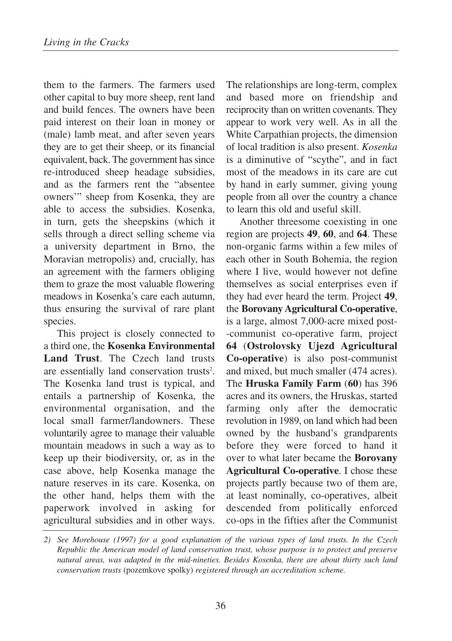them to the farmers. The farmers used other capital to buy more sheep, rent land and build fences. The owners have been paid interest on their loan in money or (male) lamb meat, and after seven years they are to get their sheep, or its financial equivalent, back. The government has since re-introduced sheep headage subsidies, and as the farmers rent the "absentee owners'" sheep from Kosenka, they are able to access the subsidies. Kosenka, in turn, gets the sheepskins (which it sells through a direct selling scheme via a university department in Brno, the Moravian metropolis) and, crucially, has an agreement with the farmers obliging them to graze the most valuable flowering meadows in Kosenka's care each autumn, thus ensuring the survival of rare plant species.

This project is closely connected to a third one, the **Kosenka Environmental Land Trust**. The Czech land trusts are essentially land conservation trusts<sup>2</sup>. The Kosenka land trust is typical, and entails a partnership of Kosenka, the environmental organisation, and the local small farmer/landowners. These voluntarily agree to manage their valuable mountain meadows in such a way as to keep up their biodiversity, or, as in the case above, help Kosenka manage the nature reserves in its care. Kosenka, on the other hand, helps them with the paperwork involved in asking for agricultural subsidies and in other ways. The relationships are long-term, complex and based more on friendship and reciprocity than on written covenants. They appear to work very well. As in all the White Carpathian projects, the dimension of local tradition is also present. *Kosenka* is a diminutive of "scythe", and in fact most of the meadows in its care are cut by hand in early summer, giving young people from all over the country a chance to learn this old and useful skill.

Another threesome coexisting in one region are projects **49**, **60**, and **64**. These non-organic farms within a few miles of each other in South Bohemia, the region where I live, would however not define themselves as social enterprises even if they had ever heard the term. Project **49**, the **Borovany Agricultural Co-operative**, is a large, almost 7,000-acre mixed post- -communist co-operative farm, project **64** (**Ostrolovsky Ujezd Agricultural Co-operative**) is also post-communist and mixed, but much smaller (474 acres). The **Hruska Family Farm** (**60**) has 396 acres and its owners, the Hruskas, started farming only after the democratic revolution in 1989, on land which had been owned by the husband's grandparents before they were forced to hand it over to what later became the **Borovany Agricultural Co-operative**. I chose these projects partly because two of them are, at least nominally, co-operatives, albeit descended from politically enforced co-ops in the fifties after the Communist

*<sup>2)</sup> See Morehouse (1997) for a good explanation of the various types of land trusts. In the Czech Republic the American model of land conservation trust, whose purpose is to protect and preserve natural areas, was adapted in the mid-nineties. Besides Kosenka, there are about thirty such land conservation trusts* (pozemkove spolky) *registered through an accreditation scheme.*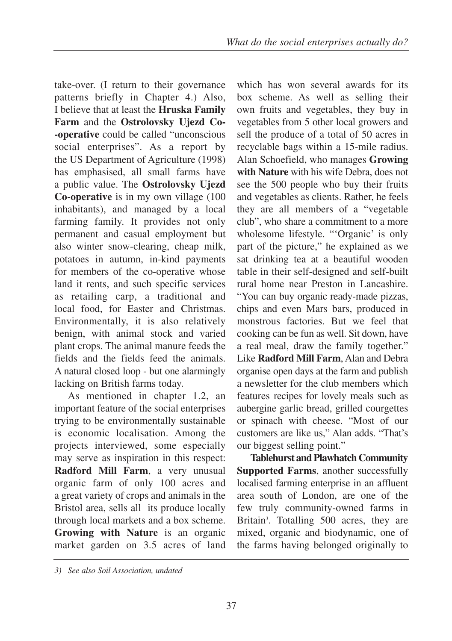take-over. (I return to their governance patterns briefly in Chapter 4.) Also, I believe that at least the **Hruska Family Farm** and the **Ostrolovsky Ujezd Co- -operative** could be called "unconscious social enterprises". As a report by the US Department of Agriculture (1998) has emphasised, all small farms have a public value. The **Ostrolovsky Ujezd Co-operative** is in my own village (100 inhabitants), and managed by a local farming family. It provides not only permanent and casual employment but also winter snow-clearing, cheap milk, potatoes in autumn, in-kind payments for members of the co-operative whose land it rents, and such specific services as retailing carp, a traditional and local food, for Easter and Christmas. Environmentally, it is also relatively benign, with animal stock and varied plant crops. The animal manure feeds the fields and the fields feed the animals. A natural closed loop - but one alarmingly lacking on British farms today.

As mentioned in chapter 1.2, an important feature of the social enterprises trying to be environmentally sustainable is economic localisation. Among the projects interviewed, some especially may serve as inspiration in this respect: **Radford Mill Farm**, a very unusual organic farm of only 100 acres and a great variety of crops and animals in the Bristol area, sells all its produce locally through local markets and a box scheme. **Growing with Nature** is an organic market garden on 3.5 acres of land

which has won several awards for its box scheme. As well as selling their own fruits and vegetables, they buy in vegetables from 5 other local growers and sell the produce of a total of 50 acres in recyclable bags within a 15-mile radius. Alan Schoefield, who manages **Growing with Nature** with his wife Debra, does not see the 500 people who buy their fruits and vegetables as clients. Rather, he feels they are all members of a "vegetable club", who share a commitment to a more wholesome lifestyle. "'Organic' is only part of the picture," he explained as we sat drinking tea at a beautiful wooden table in their self-designed and self-built rural home near Preston in Lancashire. "You can buy organic ready-made pizzas, chips and even Mars bars, produced in monstrous factories. But we feel that cooking can be fun as well. Sit down, have a real meal, draw the family together." Like **Radford Mill Farm**, Alan and Debra organise open days at the farm and publish a newsletter for the club members which features recipes for lovely meals such as aubergine garlic bread, grilled courgettes or spinach with cheese. "Most of our customers are like us," Alan adds. "That's our biggest selling point."

**Tablehurst and Plawhatch Community Supported Farms**, another successfully localised farming enterprise in an affluent area south of London, are one of the few truly community-owned farms in Britain<sup>3</sup>. Totalling 500 acres, they are mixed, organic and biodynamic, one of the farms having belonged originally to

*<sup>3)</sup> See also Soil Association, undated*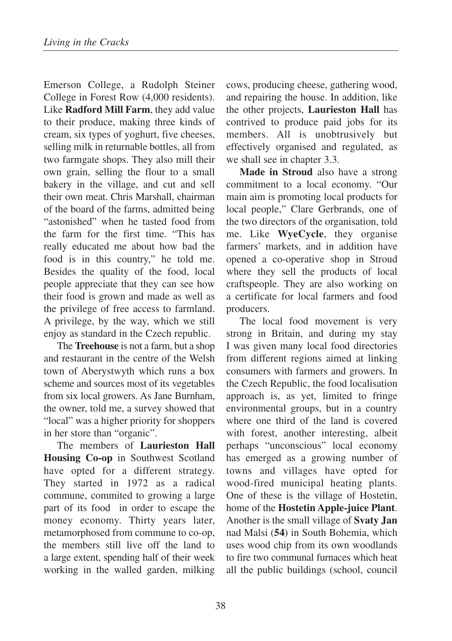Emerson College, a Rudolph Steiner College in Forest Row (4,000 residents). Like **Radford Mill Farm**, they add value to their produce, making three kinds of cream, six types of yoghurt, five cheeses, selling milk in returnable bottles, all from two farmgate shops. They also mill their own grain, selling the flour to a small bakery in the village, and cut and sell their own meat. Chris Marshall, chairman of the board of the farms, admitted being "astonished" when he tasted food from the farm for the first time. "This has really educated me about how bad the food is in this country," he told me. Besides the quality of the food, local people appreciate that they can see how their food is grown and made as well as the privilege of free access to farmland. A privilege, by the way, which we still enjoy as standard in the Czech republic.

The **Treehouse** is not a farm, but a shop and restaurant in the centre of the Welsh town of Aberystwyth which runs a box scheme and sources most of its vegetables from six local growers. As Jane Burnham, the owner, told me, a survey showed that "local" was a higher priority for shoppers in her store than "organic".

The members of **Laurieston Hall Housing Co-op** in Southwest Scotland have opted for a different strategy. They started in 1972 as a radical commune, commited to growing a large part of its food in order to escape the money economy. Thirty years later, metamorphosed from commune to co-op, the members still live off the land to a large extent, spending half of their week working in the walled garden, milking cows, producing cheese, gathering wood, and repairing the house. In addition, like the other projects, **Laurieston Hall** has contrived to produce paid jobs for its members. All is unobtrusively but effectively organised and regulated, as we shall see in chapter 3.3.

**Made in Stroud** also have a strong commitment to a local economy. "Our main aim is promoting local products for local people," Clare Gerbrands, one of the two directors of the organisation, told me. Like **WyeCycle**, they organise farmers' markets, and in addition have opened a co-operative shop in Stroud where they sell the products of local craftspeople. They are also working on a certificate for local farmers and food producers.

The local food movement is very strong in Britain, and during my stay I was given many local food directories from different regions aimed at linking consumers with farmers and growers. In the Czech Republic, the food localisation approach is, as yet, limited to fringe environmental groups, but in a country where one third of the land is covered with forest, another interesting, albeit perhaps "unconscious" local economy has emerged as a growing number of towns and villages have opted for wood-fired municipal heating plants. One of these is the village of Hostetin, home of the **Hostetin Apple-juice Plant**. Another is the small village of **Svaty Jan** nad Malsi (**54**) in South Bohemia, which uses wood chip from its own woodlands to fire two communal furnaces which heat all the public buildings (school, council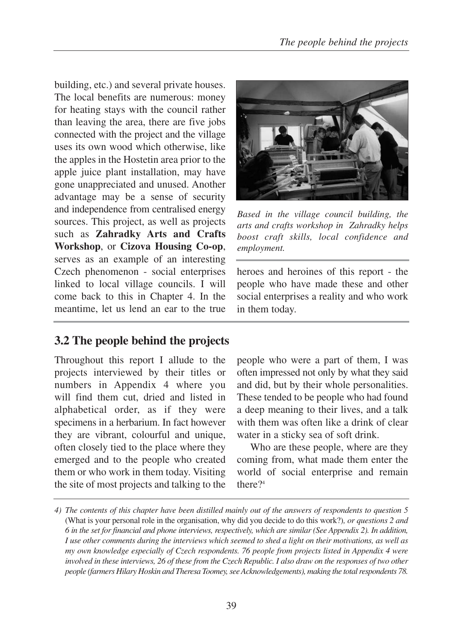building, etc.) and several private houses. The local benefits are numerous: money for heating stays with the council rather than leaving the area, there are five jobs connected with the project and the village uses its own wood which otherwise, like the apples in the Hostetin area prior to the apple juice plant installation, may have gone unappreciated and unused. Another advantage may be a sense of security and independence from centralised energy sources. This project, as well as projects such as **Zahradky Arts and Crafts Workshop**, or **Cizova Housing Co-op**, serves as an example of an interesting Czech phenomenon - social enterprises linked to local village councils. I will come back to this in Chapter 4. In the meantime, let us lend an ear to the true



*Based in the village council building, the arts and crafts workshop in Zahradky helps boost craft skills, local confidence and employment.*

heroes and heroines of this report - the people who have made these and other social enterprises a reality and who work in them today.

## **3.2 The people behind the projects**

Throughout this report I allude to the projects interviewed by their titles or numbers in Appendix 4 where you will find them cut, dried and listed in alphabetical order, as if they were specimens in a herbarium. In fact however they are vibrant, colourful and unique, often closely tied to the place where they emerged and to the people who created them or who work in them today. Visiting the site of most projects and talking to the

people who were a part of them, I was often impressed not only by what they said and did, but by their whole personalities. These tended to be people who had found a deep meaning to their lives, and a talk with them was often like a drink of clear water in a sticky sea of soft drink.

Who are these people, where are they coming from, what made them enter the world of social enterprise and remain there?<sup>4</sup>

*<sup>4)</sup> The contents of this chapter have been distilled mainly out of the answers of respondents to question 5* (What is your personal role in the organisation, why did you decide to do this work?)*, or questions 2 and 6 in the set for financial and phone interviews, respectively, which are similar (See Appendix 2). In addition, I use other comments during the interviews which seemed to shed a light on their motivations, as well as my own knowledge especially of Czech respondents. 76 people from projects listed in Appendix 4 were involved in these interviews, 26 of these from the Czech Republic. I also draw on the responses of two other people (farmers Hilary Hoskin and Theresa Toomey, see Acknowledgements), making the total respondents 78.*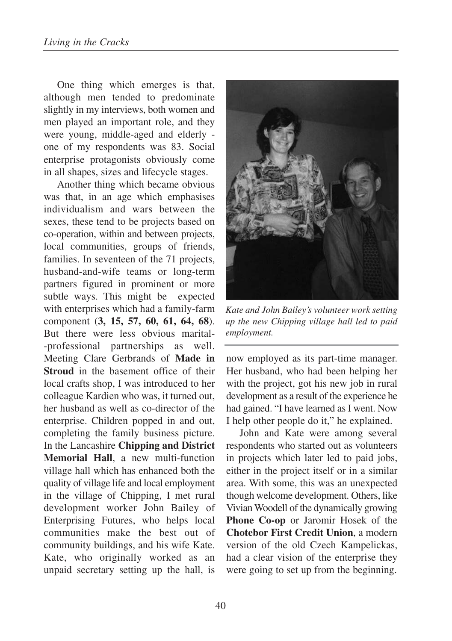One thing which emerges is that, although men tended to predominate slightly in my interviews, both women and men played an important role, and they were young, middle-aged and elderly one of my respondents was 83. Social enterprise protagonists obviously come in all shapes, sizes and lifecycle stages.

Another thing which became obvious was that, in an age which emphasises individualism and wars between the sexes, these tend to be projects based on co-operation, within and between projects, local communities, groups of friends, families. In seventeen of the 71 projects, husband-and-wife teams or long-term partners figured in prominent or more subtle ways. This might be expected with enterprises which had a family-farm component (**3, 15, 57, 60, 61, 64, 68**). But there were less obvious marital- -professional partnerships as well. Meeting Clare Gerbrands of **Made in Stroud** in the basement office of their local crafts shop, I was introduced to her colleague Kardien who was, it turned out, her husband as well as co-director of the enterprise. Children popped in and out, completing the family business picture. In the Lancashire **Chipping and District Memorial Hall**, a new multi-function village hall which has enhanced both the quality of village life and local employment in the village of Chipping, I met rural development worker John Bailey of Enterprising Futures, who helps local communities make the best out of community buildings, and his wife Kate. Kate, who originally worked as an unpaid secretary setting up the hall, is



*Kate and John Bailey's volunteer work setting up the new Chipping village hall led to paid employment.* 

now employed as its part-time manager. Her husband, who had been helping her with the project, got his new job in rural development as a result of the experience he had gained. "I have learned as I went. Now I help other people do it," he explained.

John and Kate were among several respondents who started out as volunteers in projects which later led to paid jobs, either in the project itself or in a similar area. With some, this was an unexpected though welcome development. Others, like Vivian Woodell of the dynamically growing **Phone Co-op** or Jaromir Hosek of the **Chotebor First Credit Union**, a modern version of the old Czech Kampelickas, had a clear vision of the enterprise they were going to set up from the beginning.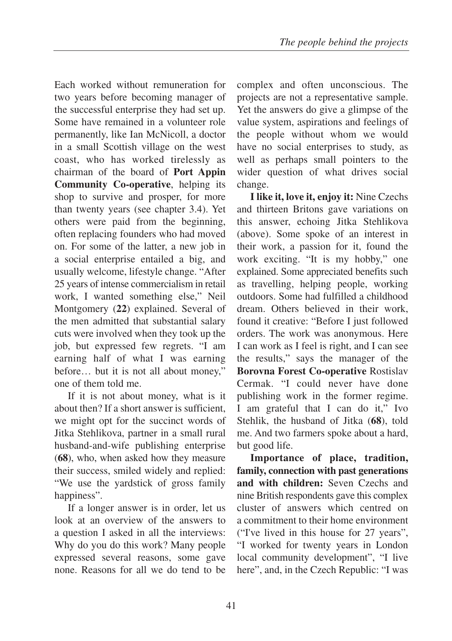Each worked without remuneration for two years before becoming manager of the successful enterprise they had set up. Some have remained in a volunteer role permanently, like Ian McNicoll, a doctor in a small Scottish village on the west coast, who has worked tirelessly as chairman of the board of **Port Appin Community Co-operative**, helping its shop to survive and prosper, for more than twenty years (see chapter 3.4). Yet others were paid from the beginning, often replacing founders who had moved on. For some of the latter, a new job in a social enterprise entailed a big, and usually welcome, lifestyle change. "After 25 years of intense commercialism in retail work, I wanted something else," Neil Montgomery (**22**) explained. Several of the men admitted that substantial salary cuts were involved when they took up the job, but expressed few regrets. "I am earning half of what I was earning before… but it is not all about money," one of them told me.

If it is not about money, what is it about then? If a short answer is sufficient, we might opt for the succinct words of Jitka Stehlikova, partner in a small rural husband-and-wife publishing enterprise (**68**), who, when asked how they measure their success, smiled widely and replied: "We use the yardstick of gross family happiness".

If a longer answer is in order, let us look at an overview of the answers to a question I asked in all the interviews: Why do you do this work? Many people expressed several reasons, some gave none. Reasons for all we do tend to be complex and often unconscious. The projects are not a representative sample. Yet the answers do give a glimpse of the value system, aspirations and feelings of the people without whom we would have no social enterprises to study, as well as perhaps small pointers to the wider question of what drives social change.

**I like it, love it, enjoy it:** Nine Czechs and thirteen Britons gave variations on this answer, echoing Jitka Stehlikova (above). Some spoke of an interest in their work, a passion for it, found the work exciting. "It is my hobby," one explained. Some appreciated benefits such as travelling, helping people, working outdoors. Some had fulfilled a childhood dream. Others believed in their work, found it creative: "Before I just followed orders. The work was anonymous. Here I can work as I feel is right, and I can see the results," says the manager of the **Borovna Forest Co-operative** Rostislav Cermak. "I could never have done publishing work in the former regime. I am grateful that I can do it," Ivo Stehlik, the husband of Jitka (**68**), told me. And two farmers spoke about a hard, but good life.

**Importance of place, tradition, family, connection with past generations and with children:** Seven Czechs and nine British respondents gave this complex cluster of answers which centred on a commitment to their home environment ("I've lived in this house for 27 years", "I worked for twenty years in London local community development", "I live here", and, in the Czech Republic: "I was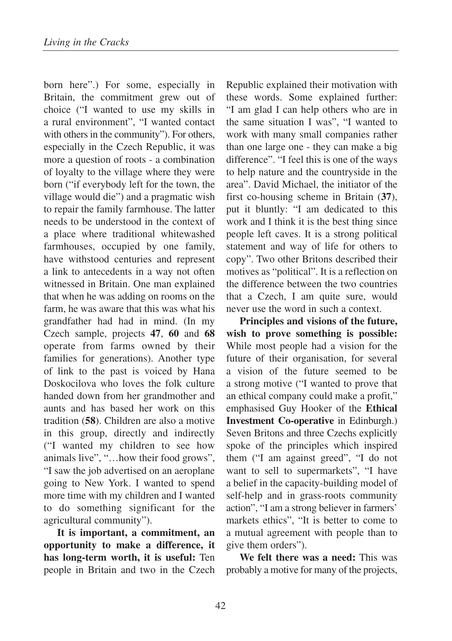born here".) For some, especially in Britain, the commitment grew out of choice ("I wanted to use my skills in a rural environment", "I wanted contact with others in the community"). For others, especially in the Czech Republic, it was more a question of roots - a combination of loyalty to the village where they were born ("if everybody left for the town, the village would die") and a pragmatic wish to repair the family farmhouse. The latter needs to be understood in the context of a place where traditional whitewashed farmhouses, occupied by one family, have withstood centuries and represent a link to antecedents in a way not often witnessed in Britain. One man explained that when he was adding on rooms on the farm, he was aware that this was what his grandfather had had in mind. (In my Czech sample, projects **47**, **60** and **68** operate from farms owned by their families for generations). Another type of link to the past is voiced by Hana Doskocilova who loves the folk culture handed down from her grandmother and aunts and has based her work on this tradition (**58**). Children are also a motive in this group, directly and indirectly ("I wanted my children to see how animals live", "…how their food grows", "I saw the job advertised on an aeroplane going to New York. I wanted to spend more time with my children and I wanted to do something significant for the agricultural community").

**It is important, a commitment, an opportunity to make a difference, it has long-term worth, it is useful:** Ten people in Britain and two in the Czech Republic explained their motivation with these words. Some explained further: "I am glad I can help others who are in the same situation I was", "I wanted to work with many small companies rather than one large one - they can make a big difference". "I feel this is one of the ways to help nature and the countryside in the area". David Michael, the initiator of the first co-housing scheme in Britain (**37**), put it bluntly: "I am dedicated to this work and I think it is the best thing since people left caves. It is a strong political statement and way of life for others to copy". Two other Britons described their motives as "political". It is a reflection on the difference between the two countries that a Czech, I am quite sure, would never use the word in such a context.

**Principles and visions of the future, wish to prove something is possible:** While most people had a vision for the future of their organisation, for several a vision of the future seemed to be a strong motive ("I wanted to prove that an ethical company could make a profit," emphasised Guy Hooker of the **Ethical Investment Co-operative** in Edinburgh.) Seven Britons and three Czechs explicitly spoke of the principles which inspired them ("I am against greed", "I do not want to sell to supermarkets", "I have a belief in the capacity-building model of self-help and in grass-roots community action", "I am a strong believer in farmers' markets ethics", "It is better to come to a mutual agreement with people than to give them orders").

**We felt there was a need:** This was probably a motive for many of the projects,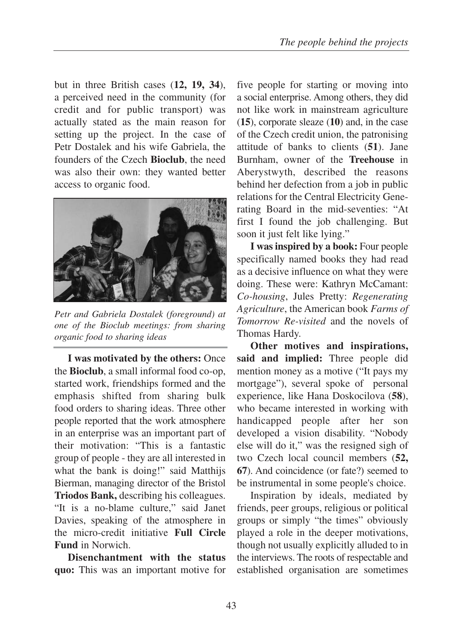but in three British cases (**12, 19, 34**), a perceived need in the community (for credit and for public transport) was actually stated as the main reason for setting up the project. In the case of Petr Dostalek and his wife Gabriela, the founders of the Czech **Bioclub**, the need was also their own: they wanted better access to organic food.



*Petr and Gabriela Dostalek (foreground) at one of the Bioclub meetings: from sharing organic food to sharing ideas*

**I was motivated by the others:** Once the **Bioclub**, a small informal food co-op, started work, friendships formed and the emphasis shifted from sharing bulk food orders to sharing ideas. Three other people reported that the work atmosphere in an enterprise was an important part of their motivation: "This is a fantastic group of people - they are all interested in what the bank is doing!" said Matthijs Bierman, managing director of the Bristol **Triodos Bank,** describing his colleagues. "It is a no-blame culture," said Janet Davies, speaking of the atmosphere in the micro-credit initiative **Full Circle Fund** in Norwich.

**Disenchantment with the status quo:** This was an important motive for five people for starting or moving into a social enterprise. Among others, they did not like work in mainstream agriculture (**15**), corporate sleaze (**10**) and, in the case of the Czech credit union, the patronising attitude of banks to clients (**51**). Jane Burnham, owner of the **Treehouse** in Aberystwyth, described the reasons behind her defection from a job in public relations for the Central Electricity Generating Board in the mid-seventies: "At first I found the job challenging. But soon it just felt like lying."

**I was inspired by a book:** Four people specifically named books they had read as a decisive influence on what they were doing. These were: Kathryn McCamant: *Co-housing*, Jules Pretty: *Regenerating Agriculture*, the American book *Farms of Tomorrow Re-visited* and the novels of Thomas Hardy.

**Other motives and inspirations, said and implied:** Three people did mention money as a motive ("It pays my mortgage"), several spoke of personal experience, like Hana Doskocilova (**58**), who became interested in working with handicapped people after her son developed a vision disability. "Nobody else will do it," was the resigned sigh of two Czech local council members (**52, 67**). And coincidence (or fate?) seemed to be instrumental in some people's choice.

Inspiration by ideals, mediated by friends, peer groups, religious or political groups or simply "the times" obviously played a role in the deeper motivations, though not usually explicitly alluded to in the interviews. The roots of respectable and established organisation are sometimes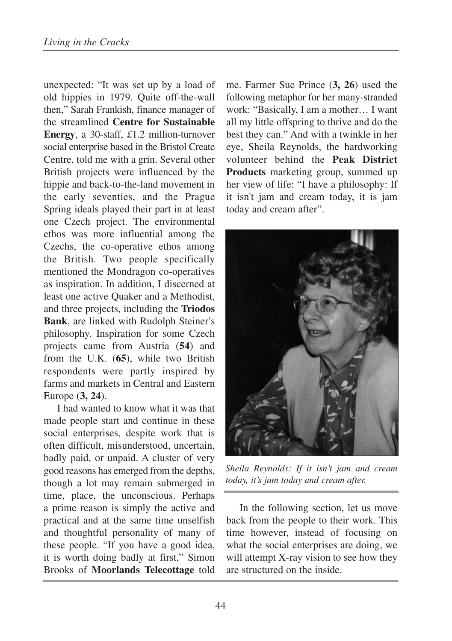unexpected: "It was set up by a load of old hippies in 1979. Quite off-the-wall then," Sarah Frankish, finance manager of the streamlined **Centre for Sustainable Energy**, a 30-staff, £1.2 million-turnover social enterprise based in the Bristol Create Centre, told me with a grin. Several other British projects were influenced by the hippie and back-to-the-land movement in the early seventies, and the Prague Spring ideals played their part in at least one Czech project. The environmental ethos was more influential among the Czechs, the co-operative ethos among the British. Two people specifically mentioned the Mondragon co-operatives as inspiration. In addition, I discerned at least one active Quaker and a Methodist, and three projects, including the **Triodos Bank**, are linked with Rudolph Steiner's philosophy. Inspiration for some Czech projects came from Austria (**54**) and from the U.K. (**65**), while two British respondents were partly inspired by farms and markets in Central and Eastern Europe (**3, 24**).

I had wanted to know what it was that made people start and continue in these social enterprises, despite work that is often difficult, misunderstood, uncertain, badly paid, or unpaid. A cluster of very good reasons has emerged from the depths, though a lot may remain submerged in time, place, the unconscious. Perhaps a prime reason is simply the active and practical and at the same time unselfish and thoughtful personality of many of these people. "If you have a good idea, it is worth doing badly at first," Simon Brooks of **Moorlands Telecottage** told me. Farmer Sue Prince (**3, 26**) used the following metaphor for her many-stranded work: "Basically, I am a mother… I want all my little offspring to thrive and do the best they can." And with a twinkle in her eye, Sheila Reynolds, the hardworking volunteer behind the **Peak District Products** marketing group, summed up her view of life: "I have a philosophy: If it isn't jam and cream today, it is jam today and cream after".



*Sheila Reynolds: If it isn't jam and cream today, it's jam today and cream after.*

In the following section, let us move back from the people to their work. This time however, instead of focusing on what the social enterprises are doing, we will attempt X-ray vision to see how they are structured on the inside.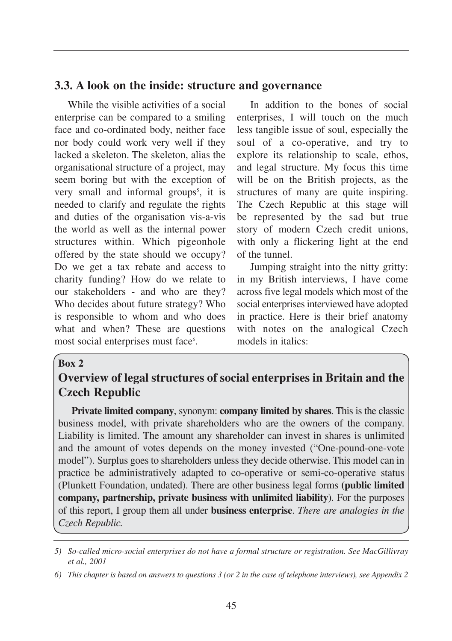## **3.3. A look on the inside: structure and governance**

While the visible activities of a social enterprise can be compared to a smiling face and co-ordinated body, neither face nor body could work very well if they lacked a skeleton. The skeleton, alias the organisational structure of a project, may seem boring but with the exception of very small and informal groups<sup>5</sup>, it is needed to clarify and regulate the rights and duties of the organisation vis-a-vis the world as well as the internal power structures within. Which pigeonhole offered by the state should we occupy? Do we get a tax rebate and access to charity funding? How do we relate to our stakeholders - and who are they? Who decides about future strategy? Who is responsible to whom and who does what and when? These are questions most social enterprises must face<sup>6</sup>.

In addition to the bones of social enterprises, I will touch on the much less tangible issue of soul, especially the soul of a co-operative, and try to explore its relationship to scale, ethos, and legal structure. My focus this time will be on the British projects, as the structures of many are quite inspiring. The Czech Republic at this stage will be represented by the sad but true story of modern Czech credit unions, with only a flickering light at the end of the tunnel.

Jumping straight into the nitty gritty: in my British interviews, I have come across five legal models which most of the social enterprises interviewed have adopted in practice. Here is their brief anatomy with notes on the analogical Czech models in italics:

#### **Box 2**

# **Overview of legal structures of social enterprises in Britain and the Czech Republic**

**Private limited company**, synonym: **company limited by shares**. This is the classic business model, with private shareholders who are the owners of the company. Liability is limited. The amount any shareholder can invest in shares is unlimited and the amount of votes depends on the money invested ("One-pound-one-vote model"). Surplus goes to shareholders unless they decide otherwise. This model can in practice be administratively adapted to co-operative or semi-co-operative status (Plunkett Foundation, undated). There are other business legal forms **(public limited company, partnership, private business with unlimited liability**). For the purposes of this report, I group them all under **business enterprise**. *There are analogies in the Czech Republic.*

*<sup>5)</sup> So-called micro-social enterprises do not have a formal structure or registration. See MacGillivray et al., 2001*

*<sup>6)</sup> This chapter is based on answers to questions 3 (or 2 in the case of telephone interviews), see Appendix 2*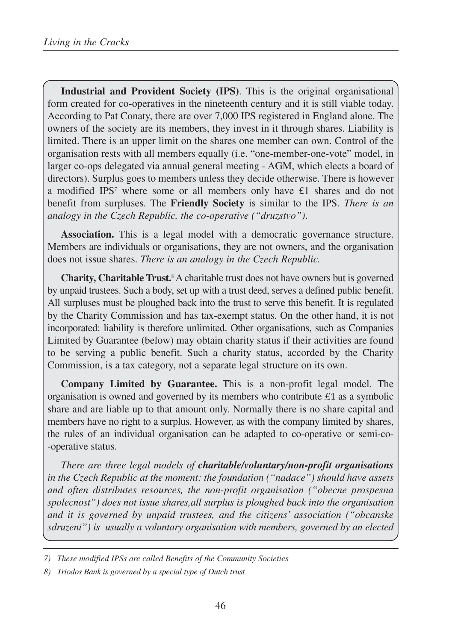**Industrial and Provident Society (IPS)**. This is the original organisational form created for co-operatives in the nineteenth century and it is still viable today. According to Pat Conaty, there are over 7,000 IPS registered in England alone. The owners of the society are its members, they invest in it through shares. Liability is limited. There is an upper limit on the shares one member can own. Control of the organisation rests with all members equally (i.e. "one-member-one-vote" model, in larger co-ops delegated via annual general meeting - AGM, which elects a board of directors). Surplus goes to members unless they decide otherwise. There is however a modified IPS<sup>7</sup> where some or all members only have £1 shares and do not benefit from surpluses. The **Friendly Society** is similar to the IPS. *There is an analogy in the Czech Republic, the co-operative ("druzstvo")*.

**Association.** This is a legal model with a democratic governance structure. Members are individuals or organisations, they are not owners, and the organisation does not issue shares. *There is an analogy in the Czech Republic.*

**Charity, Charitable Trust.**<sup>8</sup> A charitable trust does not have owners but is governed by unpaid trustees. Such a body, set up with a trust deed, serves a defined public benefit. All surpluses must be ploughed back into the trust to serve this benefit. It is regulated by the Charity Commission and has tax-exempt status. On the other hand, it is not incorporated: liability is therefore unlimited. Other organisations, such as Companies Limited by Guarantee (below) may obtain charity status if their activities are found to be serving a public benefit. Such a charity status, accorded by the Charity Commission, is a tax category, not a separate legal structure on its own.

**Company Limited by Guarantee.** This is a non-profit legal model. The organisation is owned and governed by its members who contribute  $\pounds$ 1 as a symbolic share and are liable up to that amount only. Normally there is no share capital and members have no right to a surplus. However, as with the company limited by shares, the rules of an individual organisation can be adapted to co-operative or semi-co- -operative status.

*There are three legal models of charitable/voluntary/non-profit organisations in the Czech Republic at the moment: the foundation ("nadace") should have assets and often distributes resources, the non-profit organisation ("obecne prospesna spolecnost") does not issue shares,all surplus is ploughed back into the organisation and it is governed by unpaid trustees, and the citizens' association ("obcanske sdruzeni") is usually a voluntary organisation with members, governed by an elected*

*<sup>7)</sup> These modified IPSs are called Benefits of the Community Societies*

*<sup>8)</sup> Triodos Bank is governed by a special type of Dutch trust*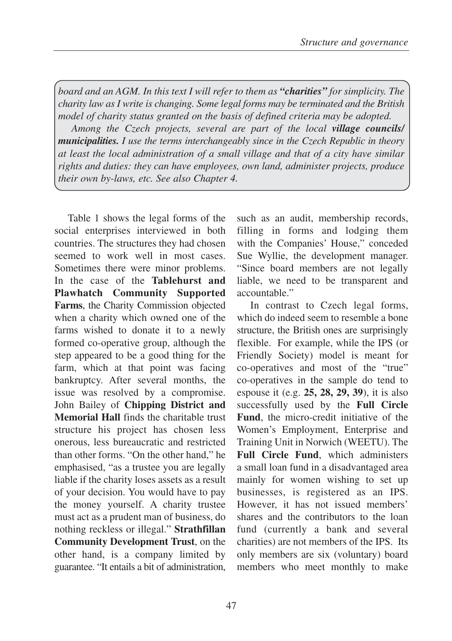*board and an AGM. In this text I will refer to them as "charities" for simplicity. The charity law as I write is changing. Some legal forms may be terminated and the British model of charity status granted on the basis of defined criteria may be adopted.*

*Among the Czech projects, several are part of the local village councils/ municipalities. I use the terms interchangeably since in the Czech Republic in theory at least the local administration of a small village and that of a city have similar rights and duties: they can have employees, own land, administer projects, produce their own by-laws, etc. See also Chapter 4.*

Table 1 shows the legal forms of the social enterprises interviewed in both countries. The structures they had chosen seemed to work well in most cases. Sometimes there were minor problems. In the case of the **Tablehurst and Plawhatch Community Supported Farms**, the Charity Commission objected when a charity which owned one of the farms wished to donate it to a newly formed co-operative group, although the step appeared to be a good thing for the farm, which at that point was facing bankruptcy. After several months, the issue was resolved by a compromise. John Bailey of **Chipping District and Memorial Hall** finds the charitable trust structure his project has chosen less onerous, less bureaucratic and restricted than other forms. "On the other hand," he emphasised, "as a trustee you are legally liable if the charity loses assets as a result of your decision. You would have to pay the money yourself. A charity trustee must act as a prudent man of business, do nothing reckless or illegal." **Strathfillan Community Development Trust**, on the other hand, is a company limited by guarantee. "It entails a bit of administration,

such as an audit, membership records, filling in forms and lodging them with the Companies' House," conceded Sue Wyllie, the development manager. "Since board members are not legally liable, we need to be transparent and accountable."

In contrast to Czech legal forms, which do indeed seem to resemble a bone structure, the British ones are surprisingly flexible. For example, while the IPS (or Friendly Society) model is meant for co-operatives and most of the "true" co-operatives in the sample do tend to espouse it (e.g. **25, 28, 29, 39**), it is also successfully used by the **Full Circle Fund**, the micro-credit initiative of the Women's Employment, Enterprise and Training Unit in Norwich (WEETU). The **Full Circle Fund**, which administers a small loan fund in a disadvantaged area mainly for women wishing to set up businesses, is registered as an IPS. However, it has not issued members' shares and the contributors to the loan fund (currently a bank and several charities) are not members of the IPS. Its only members are six (voluntary) board members who meet monthly to make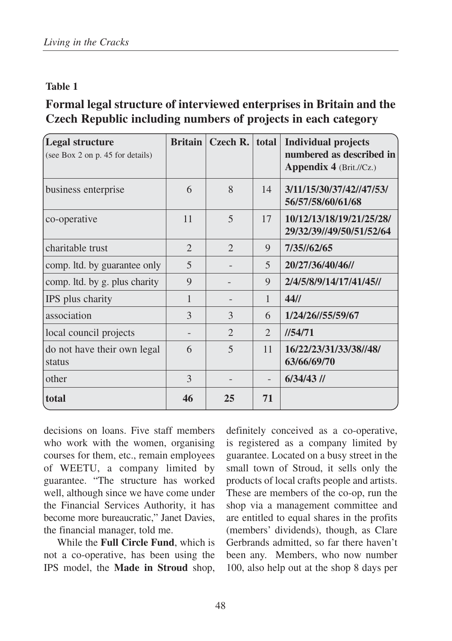## **Table 1**

# **Formal legal structure of interviewed enterprises in Britain and the Czech Republic including numbers of projects in each category**

| Legal structure<br>(see Box 2 on p. 45 for details) | <b>Britain</b> | Czech R.              | total                    | <b>Individual projects</b><br>numbered as described in<br>Appendix 4 (Brit.//Cz.) |
|-----------------------------------------------------|----------------|-----------------------|--------------------------|-----------------------------------------------------------------------------------|
| business enterprise                                 | 6              | 8                     | 14                       | 3/11/15/30/37/42//47/53/<br>56/57/58/60/61/68                                     |
| co-operative                                        | 11             | 5                     | 17                       | 10/12/13/18/19/21/25/28/<br>29/32/39//49/50/51/52/64                              |
| charitable trust                                    | $\overline{2}$ | $\mathcal{D}_{\cdot}$ | 9                        | 7/35//62/65                                                                       |
| comp. Itd. by guarantee only                        | 5              |                       | 5                        | 20/27/36/40/46//                                                                  |
| comp. Itd. by g. plus charity                       | 9              |                       | $\mathbf Q$              | 2/4/5/8/9/14/17/41/45//                                                           |
| IPS plus charity                                    | $\mathbf{1}$   |                       | 1                        | 44/1                                                                              |
| association                                         | 3              | 3                     | 6                        | 1/24/26/155/59/67                                                                 |
| local council projects                              |                | $\mathcal{D}_{\cdot}$ | $\overline{2}$           | 1/54/71                                                                           |
| do not have their own legal<br>status               | 6              | $\overline{5}$        | 11                       | 16/22/23/31/33/38//48/<br>63/66/69/70                                             |
| other                                               | 3              |                       | $\overline{\phantom{0}}$ | $6/34/43$ //                                                                      |
| total                                               | 46             | 25                    | 71                       |                                                                                   |

decisions on loans. Five staff members who work with the women, organising courses for them, etc., remain employees of WEETU, a company limited by guarantee. "The structure has worked well, although since we have come under the Financial Services Authority, it has become more bureaucratic," Janet Davies, the financial manager, told me.

While the **Full Circle Fund**, which is not a co-operative, has been using the IPS model, the **Made in Stroud** shop, definitely conceived as a co-operative, is registered as a company limited by guarantee. Located on a busy street in the small town of Stroud, it sells only the products of local crafts people and artists. These are members of the co-op, run the shop via a management committee and are entitled to equal shares in the profits (members' dividends), though, as Clare Gerbrands admitted, so far there haven't been any. Members, who now number 100, also help out at the shop 8 days per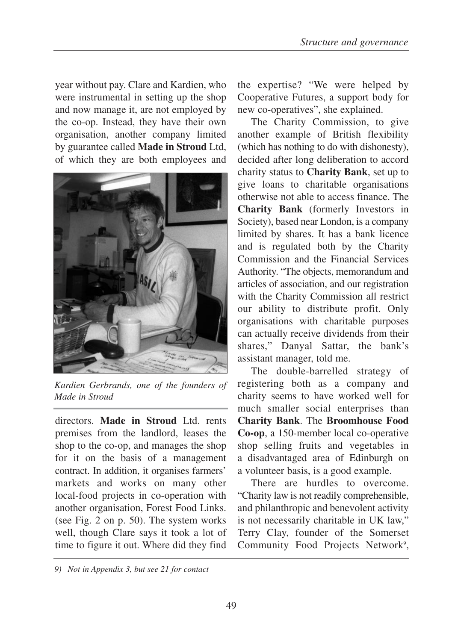year without pay. Clare and Kardien, who were instrumental in setting up the shop and now manage it, are not employed by the co-op. Instead, they have their own organisation, another company limited by guarantee called **Made in Stroud** Ltd, of which they are both employees and



*Kardien Gerbrands, one of the founders of Made in Stroud* 

directors. **Made in Stroud** Ltd. rents premises from the landlord, leases the shop to the co-op, and manages the shop for it on the basis of a management contract. In addition, it organises farmers' markets and works on many other local-food projects in co-operation with another organisation, Forest Food Links. (see Fig. 2 on p. 50). The system works well, though Clare says it took a lot of time to figure it out. Where did they find

the expertise? "We were helped by Cooperative Futures, a support body for new co-operatives", she explained.

The Charity Commission, to give another example of British flexibility (which has nothing to do with dishonesty), decided after long deliberation to accord charity status to **Charity Bank**, set up to give loans to charitable organisations otherwise not able to access finance. The **Charity Bank** (formerly Investors in Society), based near London, is a company limited by shares. It has a bank licence and is regulated both by the Charity Commission and the Financial Services Authority. "The objects, memorandum and articles of association, and our registration with the Charity Commission all restrict our ability to distribute profit. Only organisations with charitable purposes can actually receive dividends from their shares," Danyal Sattar, the bank's assistant manager, told me.

The double-barrelled strategy of registering both as a company and charity seems to have worked well for much smaller social enterprises than **Charity Bank**. The **Broomhouse Food Co-op**, a 150-member local co-operative shop selling fruits and vegetables in a disadvantaged area of Edinburgh on a volunteer basis, is a good example.

There are hurdles to overcome. "Charity law is not readily comprehensible, and philanthropic and benevolent activity is not necessarily charitable in UK law," Terry Clay, founder of the Somerset Community Food Projects Network<sup>9</sup>,

*<sup>9)</sup> Not in Appendix 3, but see 21 for contact*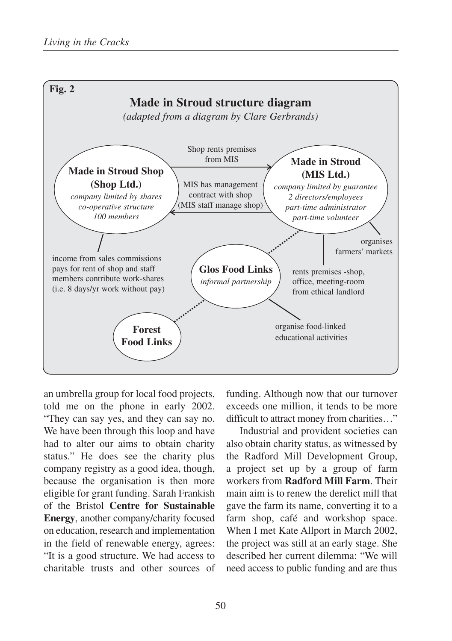

an umbrella group for local food projects, told me on the phone in early 2002. "They can say yes, and they can say no. We have been through this loop and have had to alter our aims to obtain charity status." He does see the charity plus company registry as a good idea, though, because the organisation is then more eligible for grant funding. Sarah Frankish of the Bristol **Centre for Sustainable Energy**, another company/charity focused on education, research and implementation in the field of renewable energy, agrees: "It is a good structure. We had access to charitable trusts and other sources of funding. Although now that our turnover exceeds one million, it tends to be more difficult to attract money from charities…"

Industrial and provident societies can also obtain charity status, as witnessed by the Radford Mill Development Group, a project set up by a group of farm workers from **Radford Mill Farm**. Their main aim is to renew the derelict mill that gave the farm its name, converting it to a farm shop, café and workshop space. When I met Kate Allport in March 2002, the project was still at an early stage. She described her current dilemma: "We will need access to public funding and are thus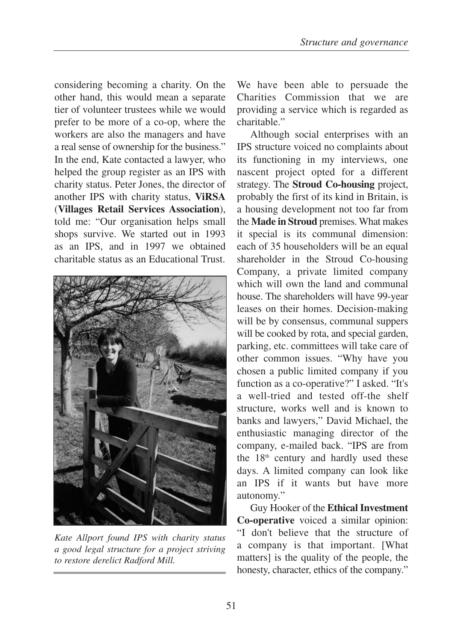considering becoming a charity. On the other hand, this would mean a separate tier of volunteer trustees while we would prefer to be more of a co-op, where the workers are also the managers and have a real sense of ownership for the business." In the end, Kate contacted a lawyer, who helped the group register as an IPS with charity status. Peter Jones, the director of another IPS with charity status, **ViRSA** (**Villages Retail Services Association**), told me: "Our organisation helps small shops survive. We started out in 1993 as an IPS, and in 1997 we obtained charitable status as an Educational Trust.



*Kate Allport found IPS with charity status a good legal structure for a project striving to restore derelict Radford Mill.* 

We have been able to persuade the Charities Commission that we are providing a service which is regarded as charitable."

Although social enterprises with an IPS structure voiced no complaints about its functioning in my interviews, one nascent project opted for a different strategy. The **Stroud Co-housing** project, probably the first of its kind in Britain, is a housing development not too far from the **Made in Stroud** premises. What makes it special is its communal dimension: each of 35 householders will be an equal shareholder in the Stroud Co-housing Company, a private limited company which will own the land and communal house. The shareholders will have 99-year leases on their homes. Decision-making will be by consensus, communal suppers will be cooked by rota, and special garden, parking, etc. committees will take care of other common issues. "Why have you chosen a public limited company if you function as a co-operative?" I asked. "It's a well-tried and tested off-the shelf structure, works well and is known to banks and lawyers," David Michael, the enthusiastic managing director of the company, e-mailed back. "IPS are from the  $18<sup>th</sup>$  century and hardly used these days. A limited company can look like an IPS if it wants but have more autonomy."

Guy Hooker of the **Ethical Investment Co-operative** voiced a similar opinion: "I don't believe that the structure of a company is that important. [What matters] is the quality of the people, the honesty, character, ethics of the company."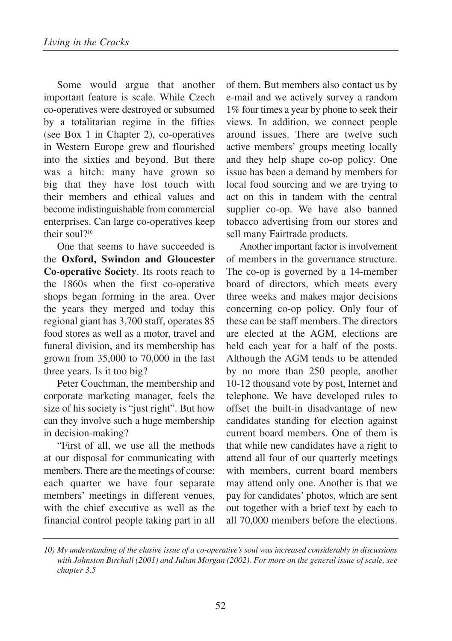Some would argue that another important feature is scale. While Czech co-operatives were destroyed or subsumed by a totalitarian regime in the fifties (see Box 1 in Chapter 2), co-operatives in Western Europe grew and flourished into the sixties and beyond. But there was a hitch: many have grown so big that they have lost touch with their members and ethical values and become indistinguishable from commercial enterprises. Can large co-operatives keep their soul?<sup>10</sup>

One that seems to have succeeded is the **Oxford, Swindon and Gloucester Co-operative Society**. Its roots reach to the 1860s when the first co-operative shops began forming in the area. Over the years they merged and today this regional giant has 3,700 staff, operates 85 food stores as well as a motor, travel and funeral division, and its membership has grown from 35,000 to 70,000 in the last three years. Is it too big?

Peter Couchman, the membership and corporate marketing manager, feels the size of his society is "just right". But how can they involve such a huge membership in decision-making?

"First of all, we use all the methods at our disposal for communicating with members. There are the meetings of course: each quarter we have four separate members' meetings in different venues, with the chief executive as well as the financial control people taking part in all of them. But members also contact us by e-mail and we actively survey a random 1% four times a year by phone to seek their views. In addition, we connect people around issues. There are twelve such active members' groups meeting locally and they help shape co-op policy. One issue has been a demand by members for local food sourcing and we are trying to act on this in tandem with the central supplier co-op. We have also banned tobacco advertising from our stores and sell many Fairtrade products.

Another important factor is involvement of members in the governance structure. The co-op is governed by a 14-member board of directors, which meets every three weeks and makes major decisions concerning co-op policy. Only four of these can be staff members. The directors are elected at the AGM, elections are held each year for a half of the posts. Although the AGM tends to be attended by no more than 250 people, another 10-12 thousand vote by post, Internet and telephone. We have developed rules to offset the built-in disadvantage of new candidates standing for election against current board members. One of them is that while new candidates have a right to attend all four of our quarterly meetings with members, current board members may attend only one. Another is that we pay for candidates' photos, which are sent out together with a brief text by each to all 70,000 members before the elections.

*<sup>10)</sup> My understanding of the elusive issue of a co-operative's soul was increased considerably in discussions with Johnston Birchall (2001) and Julian Morgan (2002). For more on the general issue of scale, see chapter 3.5*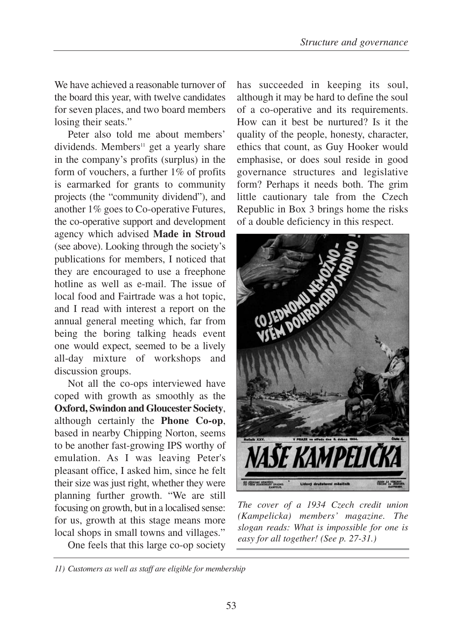We have achieved a reasonable turnover of the board this year, with twelve candidates for seven places, and two board members losing their seats."

Peter also told me about members' dividends. Members<sup>11</sup> get a yearly share in the company's profits (surplus) in the form of vouchers, a further 1% of profits is earmarked for grants to community projects (the "community dividend"), and another 1% goes to Co-operative Futures, the co-operative support and development agency which advised **Made in Stroud** (see above). Looking through the society's publications for members, I noticed that they are encouraged to use a freephone hotline as well as e-mail. The issue of local food and Fairtrade was a hot topic, and I read with interest a report on the annual general meeting which, far from being the boring talking heads event one would expect, seemed to be a lively all-day mixture of workshops and discussion groups.

Not all the co-ops interviewed have coped with growth as smoothly as the **Oxford, Swindon and Gloucester Society**, although certainly the **Phone Co-op**, based in nearby Chipping Norton, seems to be another fast-growing IPS worthy of emulation. As I was leaving Peter's pleasant office, I asked him, since he felt their size was just right, whether they were planning further growth. "We are still focusing on growth, but in a localised sense: for us, growth at this stage means more local shops in small towns and villages."

One feels that this large co-op society

has succeeded in keeping its soul, although it may be hard to define the soul of a co-operative and its requirements. How can it best be nurtured? Is it the quality of the people, honesty, character, ethics that count, as Guy Hooker would emphasise, or does soul reside in good governance structures and legislative form? Perhaps it needs both. The grim little cautionary tale from the Czech Republic in Box 3 brings home the risks of a double deficiency in this respect.



*The cover of a 1934 Czech credit union (Kampelicka) members' magazine. The slogan reads: What is impossible for one is easy for all together! (See p. 27-31.)*

*<sup>11)</sup> Customers as well as staff are eligible for membership*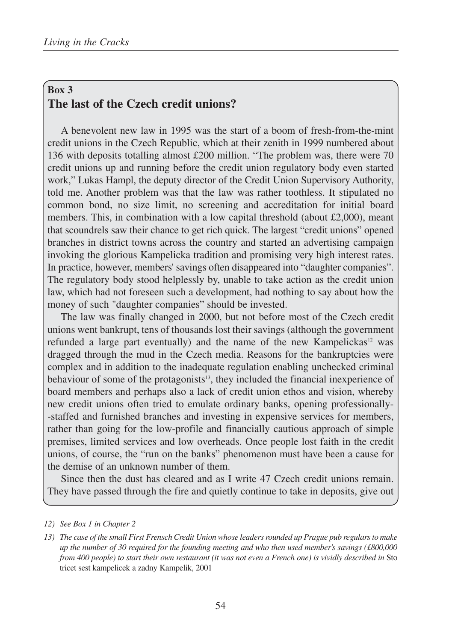## **Box 3 The last of the Czech credit unions?**

A benevolent new law in 1995 was the start of a boom of fresh-from-the-mint credit unions in the Czech Republic, which at their zenith in 1999 numbered about 136 with deposits totalling almost £200 million. "The problem was, there were 70 credit unions up and running before the credit union regulatory body even started work," Lukas Hampl, the deputy director of the Credit Union Supervisory Authority, told me. Another problem was that the law was rather toothless. It stipulated no common bond, no size limit, no screening and accreditation for initial board members. This, in combination with a low capital threshold (about  $\text{\pounds}2,000$ ), meant that scoundrels saw their chance to get rich quick. The largest "credit unions" opened branches in district towns across the country and started an advertising campaign invoking the glorious Kampelicka tradition and promising very high interest rates. In practice, however, members' savings often disappeared into "daughter companies". The regulatory body stood helplessly by, unable to take action as the credit union law, which had not foreseen such a development, had nothing to say about how the money of such "daughter companies" should be invested.

The law was finally changed in 2000, but not before most of the Czech credit unions went bankrupt, tens of thousands lost their savings (although the government refunded a large part eventually) and the name of the new Kampelickas $12$  was dragged through the mud in the Czech media. Reasons for the bankruptcies were complex and in addition to the inadequate regulation enabling unchecked criminal behaviour of some of the protagonists<sup>13</sup>, they included the financial inexperience of board members and perhaps also a lack of credit union ethos and vision, whereby new credit unions often tried to emulate ordinary banks, opening professionally- -staffed and furnished branches and investing in expensive services for members, rather than going for the low-profile and financially cautious approach of simple premises, limited services and low overheads. Once people lost faith in the credit unions, of course, the "run on the banks" phenomenon must have been a cause for the demise of an unknown number of them.

Since then the dust has cleared and as I write 47 Czech credit unions remain. They have passed through the fire and quietly continue to take in deposits, give out

*<sup>12)</sup> See Box 1 in Chapter 2*

*<sup>13)</sup> The case of the small First Frensch Credit Union whose leaders rounded up Prague pub regulars to make up the number of 30 required for the founding meeting and who then used member's savings (£800,000 from 400 people) to start their own restaurant (it was not even a French one) is vividly described in* Sto tricet sest kampelicek a zadny Kampelik, 2001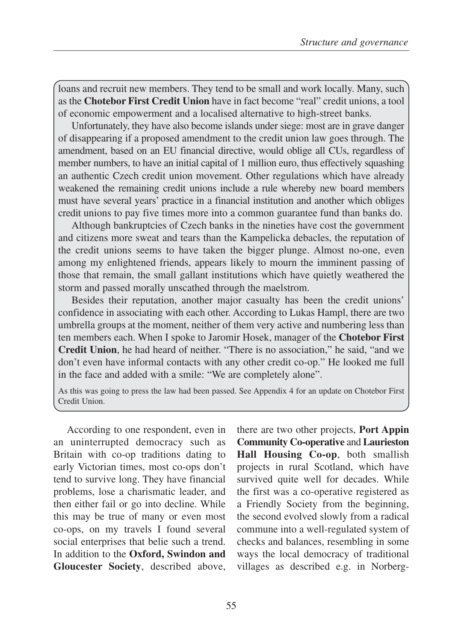loans and recruit new members. They tend to be small and work locally. Many, such as the **Chotebor First Credit Union** have in fact become "real" credit unions, a tool of economic empowerment and a localised alternative to high-street banks.

Unfortunately, they have also become islands under siege: most are in grave danger of disappearing if a proposed amendment to the credit union law goes through. The amendment, based on an EU financial directive, would oblige all CUs, regardless of member numbers, to have an initial capital of 1 million euro, thus effectively squashing an authentic Czech credit union movement. Other regulations which have already weakened the remaining credit unions include a rule whereby new board members must have several years' practice in a financial institution and another which obliges credit unions to pay five times more into a common guarantee fund than banks do.

Although bankruptcies of Czech banks in the nineties have cost the government and citizens more sweat and tears than the Kampelicka debacles, the reputation of the credit unions seems to have taken the bigger plunge. Almost no-one, even among my enlightened friends, appears likely to mourn the imminent passing of those that remain, the small gallant institutions which have quietly weathered the storm and passed morally unscathed through the maelstrom.

Besides their reputation, another major casualty has been the credit unions' confidence in associating with each other. According to Lukas Hampl, there are two umbrella groups at the moment, neither of them very active and numbering less than ten members each. When I spoke to Jaromir Hosek, manager of the **Chotebor First Credit Union**, he had heard of neither. "There is no association," he said, "and we don't even have informal contacts with any other credit co-op." He looked me full in the face and added with a smile: "We are completely alone".

As this was going to press the law had been passed. See Appendix 4 for an update on Chotebor First Credit Union.

According to one respondent, even in an uninterrupted democracy such as Britain with co-op traditions dating to early Victorian times, most co-ops don't tend to survive long. They have financial problems, lose a charismatic leader, and then either fail or go into decline. While this may be true of many or even most co-ops, on my travels I found several social enterprises that belie such a trend. In addition to the **Oxford, Swindon and Gloucester Society**, described above, there are two other projects, **Port Appin Community Co-operative** and **Laurieston Hall Housing Co-op**, both smallish projects in rural Scotland, which have survived quite well for decades. While the first was a co-operative registered as a Friendly Society from the beginning, the second evolved slowly from a radical commune into a well-regulated system of checks and balances, resembling in some ways the local democracy of traditional villages as described e.g. in Norberg-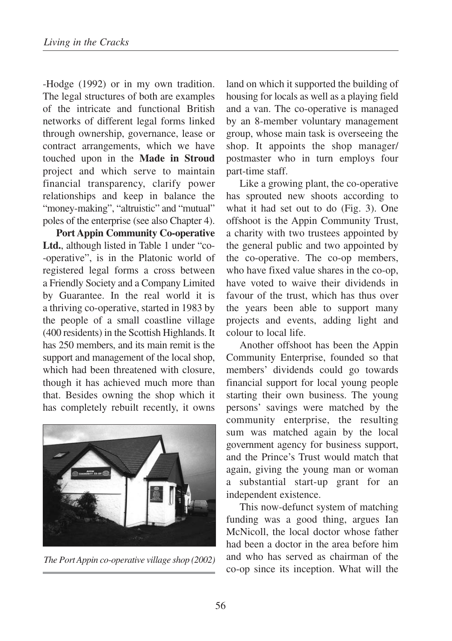-Hodge (1992) or in my own tradition. The legal structures of both are examples of the intricate and functional British networks of different legal forms linked through ownership, governance, lease or contract arrangements, which we have touched upon in the **Made in Stroud** project and which serve to maintain financial transparency, clarify power relationships and keep in balance the "money-making", "altruistic" and "mutual" poles of the enterprise (see also Chapter 4).

**Port Appin Community Co-operative Ltd.**, although listed in Table 1 under "co- -operative", is in the Platonic world of registered legal forms a cross between a Friendly Society and a Company Limited by Guarantee. In the real world it is a thriving co-operative, started in 1983 by the people of a small coastline village (400 residents) in the Scottish Highlands. It has 250 members, and its main remit is the support and management of the local shop, which had been threatened with closure, though it has achieved much more than that. Besides owning the shop which it has completely rebuilt recently, it owns



*The Port Appin co-operative village shop (2002)*

land on which it supported the building of housing for locals as well as a playing field and a van. The co-operative is managed by an 8-member voluntary management group, whose main task is overseeing the shop. It appoints the shop manager/ postmaster who in turn employs four part-time staff.

Like a growing plant, the co-operative has sprouted new shoots according to what it had set out to do (Fig. 3). One offshoot is the Appin Community Trust, a charity with two trustees appointed by the general public and two appointed by the co-operative. The co-op members, who have fixed value shares in the co-op, have voted to waive their dividends in favour of the trust, which has thus over the years been able to support many projects and events, adding light and colour to local life.

Another offshoot has been the Appin Community Enterprise, founded so that members' dividends could go towards financial support for local young people starting their own business. The young persons' savings were matched by the community enterprise, the resulting sum was matched again by the local government agency for business support, and the Prince's Trust would match that again, giving the young man or woman a substantial start-up grant for an independent existence.

This now-defunct system of matching funding was a good thing, argues Ian McNicoll, the local doctor whose father had been a doctor in the area before him and who has served as chairman of the co-op since its inception. What will the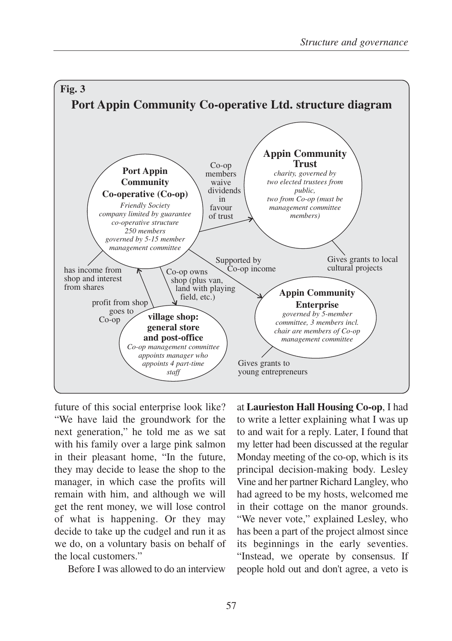

future of this social enterprise look like? "We have laid the groundwork for the next generation," he told me as we sat with his family over a large pink salmon in their pleasant home, "In the future, they may decide to lease the shop to the manager, in which case the profits will remain with him, and although we will get the rent money, we will lose control of what is happening. Or they may decide to take up the cudgel and run it as we do, on a voluntary basis on behalf of the local customers."

Before I was allowed to do an interview

at **Laurieston Hall Housing Co-op**, I had to write a letter explaining what I was up to and wait for a reply. Later, I found that my letter had been discussed at the regular Monday meeting of the co-op, which is its principal decision-making body. Lesley Vine and her partner Richard Langley, who had agreed to be my hosts, welcomed me in their cottage on the manor grounds. "We never vote," explained Lesley, who has been a part of the project almost since its beginnings in the early seventies. "Instead, we operate by consensus. If people hold out and don't agree, a veto is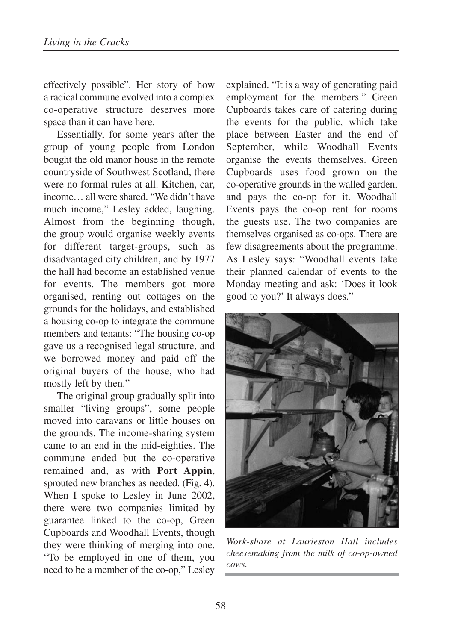effectively possible". Her story of how a radical commune evolved into a complex co-operative structure deserves more space than it can have here.

Essentially, for some years after the group of young people from London bought the old manor house in the remote countryside of Southwest Scotland, there were no formal rules at all. Kitchen, car, income… all were shared. "We didn't have much income," Lesley added, laughing. Almost from the beginning though, the group would organise weekly events for different target-groups, such as disadvantaged city children, and by 1977 the hall had become an established venue for events. The members got more organised, renting out cottages on the grounds for the holidays, and established a housing co-op to integrate the commune members and tenants: "The housing co-op gave us a recognised legal structure, and we borrowed money and paid off the original buyers of the house, who had mostly left by then."

The original group gradually split into smaller "living groups", some people moved into caravans or little houses on the grounds. The income-sharing system came to an end in the mid-eighties. The commune ended but the co-operative remained and, as with **Port Appin**, sprouted new branches as needed. (Fig. 4). When I spoke to Lesley in June 2002, there were two companies limited by guarantee linked to the co-op, Green Cupboards and Woodhall Events, though they were thinking of merging into one. "To be employed in one of them, you need to be a member of the co-op," Lesley

explained. "It is a way of generating paid employment for the members." Green Cupboards takes care of catering during the events for the public, which take place between Easter and the end of September, while Woodhall Events organise the events themselves. Green Cupboards uses food grown on the co-operative grounds in the walled garden, and pays the co-op for it. Woodhall Events pays the co-op rent for rooms the guests use. The two companies are themselves organised as co-ops. There are few disagreements about the programme. As Lesley says: "Woodhall events take their planned calendar of events to the Monday meeting and ask: 'Does it look good to you?' It always does."



*Work-share at Laurieston Hall includes cheesemaking from the milk of co-op-owned cows.*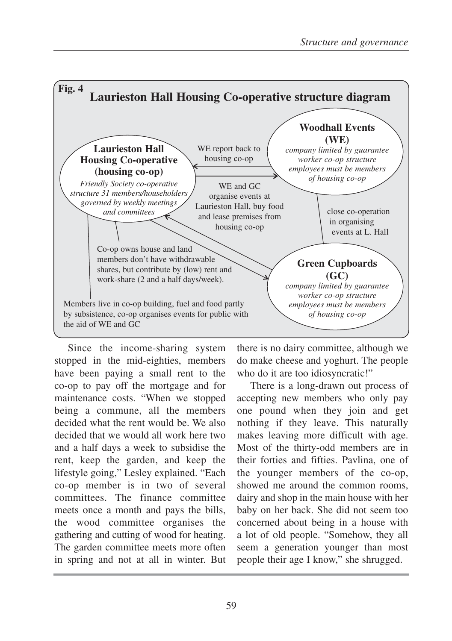

Since the income-sharing system stopped in the mid-eighties, members have been paying a small rent to the co-op to pay off the mortgage and for maintenance costs. "When we stopped being a commune, all the members decided what the rent would be. We also decided that we would all work here two and a half days a week to subsidise the rent, keep the garden, and keep the lifestyle going," Lesley explained. "Each co-op member is in two of several committees. The finance committee meets once a month and pays the bills, the wood committee organises the gathering and cutting of wood for heating. The garden committee meets more often in spring and not at all in winter. But

there is no dairy committee, although we do make cheese and yoghurt. The people who do it are too idiosyncratic!"

There is a long-drawn out process of accepting new members who only pay one pound when they join and get nothing if they leave. This naturally makes leaving more difficult with age. Most of the thirty-odd members are in their forties and fifties. Pavlina, one of the younger members of the co-op, showed me around the common rooms, dairy and shop in the main house with her baby on her back. She did not seem too concerned about being in a house with a lot of old people. "Somehow, they all seem a generation younger than most people their age I know," she shrugged.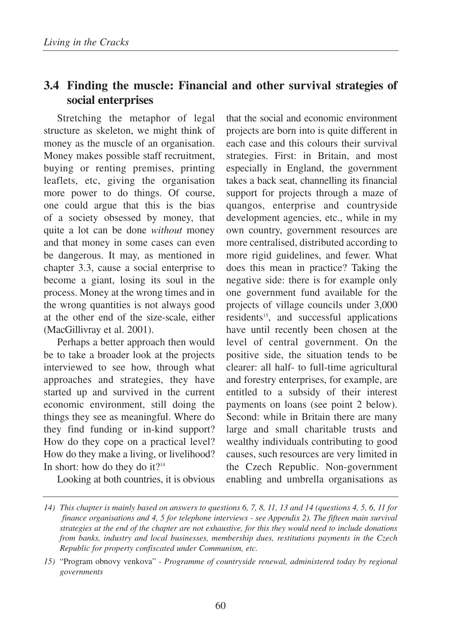## **3.4 Finding the muscle: Financial and other survival strategies of social enterprises**

Stretching the metaphor of legal structure as skeleton, we might think of money as the muscle of an organisation. Money makes possible staff recruitment, buying or renting premises, printing leaflets, etc, giving the organisation more power to do things. Of course, one could argue that this is the bias of a society obsessed by money, that quite a lot can be done *without* money and that money in some cases can even be dangerous. It may, as mentioned in chapter 3.3, cause a social enterprise to become a giant, losing its soul in the process. Money at the wrong times and in the wrong quantities is not always good at the other end of the size-scale, either (MacGillivray et al. 2001).

Perhaps a better approach then would be to take a broader look at the projects interviewed to see how, through what approaches and strategies, they have started up and survived in the current economic environment, still doing the things they see as meaningful. Where do they find funding or in-kind support? How do they cope on a practical level? How do they make a living, or livelihood? In short: how do they do it? $14$ 

Looking at both countries, it is obvious

that the social and economic environment projects are born into is quite different in each case and this colours their survival strategies. First: in Britain, and most especially in England, the government takes a back seat, channelling its financial support for projects through a maze of quangos, enterprise and countryside development agencies, etc., while in my own country, government resources are more centralised, distributed according to more rigid guidelines, and fewer. What does this mean in practice? Taking the negative side: there is for example only one government fund available for the projects of village councils under 3,000 residents<sup>15</sup>, and successful applications have until recently been chosen at the level of central government. On the positive side, the situation tends to be clearer: all half- to full-time agricultural and forestry enterprises, for example, are entitled to a subsidy of their interest payments on loans (see point 2 below). Second: while in Britain there are many large and small charitable trusts and wealthy individuals contributing to good causes, such resources are very limited in the Czech Republic. Non-government enabling and umbrella organisations as

*<sup>14)</sup> This chapter is mainly based on answers to questions 6, 7, 8, 11, 13 and 14 (questions 4, 5, 6, 11 for finance organisations and 4, 5 for telephone interviews - see Appendix 2). The fifteen main survival strategies at the end of the chapter are not exhaustive, for this they would need to include donations from banks, industry and local businesses, membership dues, restitutions payments in the Czech Republic for property confiscated under Communism, etc.*

*<sup>15)</sup>* "Program obnovy venkova" *- Programme of countryside renewal, administered today by regional governments*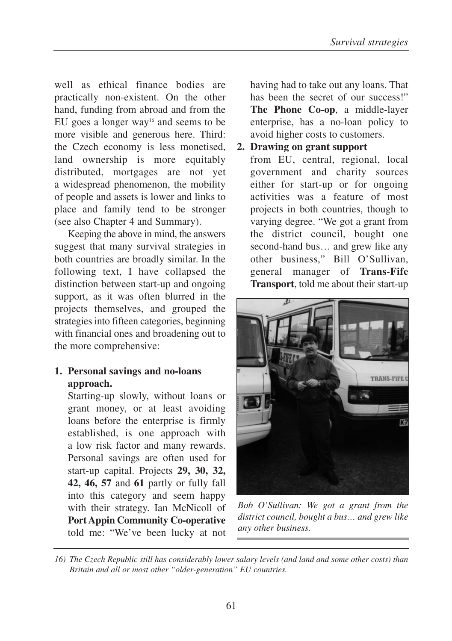well as ethical finance bodies are practically non-existent. On the other hand, funding from abroad and from the EU goes a longer way<sup>16</sup> and seems to be more visible and generous here. Third: the Czech economy is less monetised, land ownership is more equitably distributed, mortgages are not yet a widespread phenomenon, the mobility of people and assets is lower and links to place and family tend to be stronger (see also Chapter 4 and Summary).

Keeping the above in mind, the answers suggest that many survival strategies in both countries are broadly similar. In the following text, I have collapsed the distinction between start-up and ongoing support, as it was often blurred in the projects themselves, and grouped the strategies into fifteen categories, beginning with financial ones and broadening out to the more comprehensive:

### **1. Personal savings and no-loans approach.**

Starting-up slowly, without loans or grant money, or at least avoiding loans before the enterprise is firmly established, is one approach with a low risk factor and many rewards. Personal savings are often used for start-up capital. Projects **29, 30, 32, 42, 46, 57** and **61** partly or fully fall into this category and seem happy with their strategy. Ian McNicoll of **Port Appin Community Co-operative** told me: "We've been lucky at not having had to take out any loans. That has been the secret of our success!" **The Phone Co-op**, a middle-layer enterprise, has a no-loan policy to avoid higher costs to customers.

#### **2. Drawing on grant support**

from EU, central, regional, local government and charity sources either for start-up or for ongoing activities was a feature of most projects in both countries, though to varying degree. "We got a grant from the district council, bought one second-hand bus… and grew like any other business," Bill O'Sullivan, general manager of **Trans-Fife Transport**, told me about their start-up



*Bob O'Sullivan: We got a grant from the district council, bought a bus… and grew like any other business.*

*<sup>16)</sup> The Czech Republic still has considerably lower salary levels (and land and some other costs) than Britain and all or most other "older-generation" EU countries.*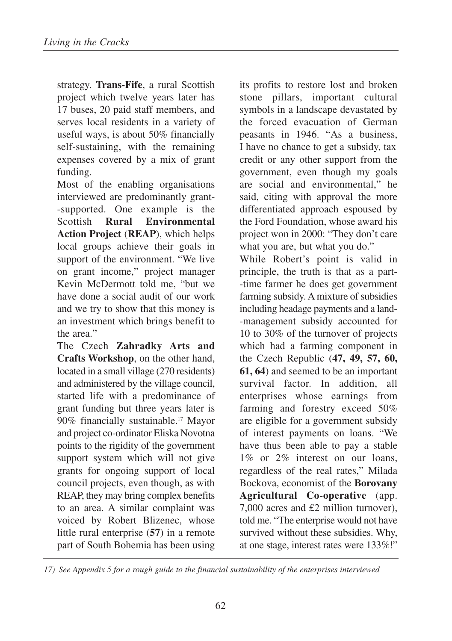strategy. **Trans-Fife**, a rural Scottish project which twelve years later has 17 buses, 20 paid staff members, and serves local residents in a variety of useful ways, is about 50% financially self-sustaining, with the remaining expenses covered by a mix of grant funding.

Most of the enabling organisations interviewed are predominantly grant- -supported. One example is the Scottish **Rural Environmental Action Project** (**REAP**), which helps local groups achieve their goals in support of the environment. "We live on grant income," project manager Kevin McDermott told me, "but we have done a social audit of our work and we try to show that this money is an investment which brings benefit to the area."

The Czech **Zahradky Arts and Crafts Workshop**, on the other hand, located in a small village (270 residents) and administered by the village council, started life with a predominance of grant funding but three years later is 90% financially sustainable.17 Mayor and project co-ordinator Eliska Novotna points to the rigidity of the government support system which will not give grants for ongoing support of local council projects, even though, as with REAP, they may bring complex benefits to an area. A similar complaint was voiced by Robert Blizenec, whose little rural enterprise (**57**) in a remote part of South Bohemia has been using

its profits to restore lost and broken stone pillars, important cultural symbols in a landscape devastated by the forced evacuation of German peasants in 1946. "As a business, I have no chance to get a subsidy, tax credit or any other support from the government, even though my goals are social and environmental," he said, citing with approval the more differentiated approach espoused by the Ford Foundation, whose award his project won in 2000: "They don't care what you are, but what you do." While Robert's point is valid in principle, the truth is that as a part- -time farmer he does get government farming subsidy. A mixture of subsidies including headage payments and a land- -management subsidy accounted for 10 to 30% of the turnover of projects which had a farming component in the Czech Republic (**47, 49, 57, 60, 61, 64**) and seemed to be an important survival factor. In addition, all enterprises whose earnings from farming and forestry exceed 50% are eligible for a government subsidy of interest payments on loans. "We

have thus been able to pay a stable 1% or 2% interest on our loans, regardless of the real rates," Milada Bockova, economist of the **Borovany Agricultural Co-operative** (app. 7,000 acres and £2 million turnover), told me. "The enterprise would not have survived without these subsidies. Why, at one stage, interest rates were 133%!"

*17) See Appendix 5 for a rough guide to the financial sustainability of the enterprises interviewed*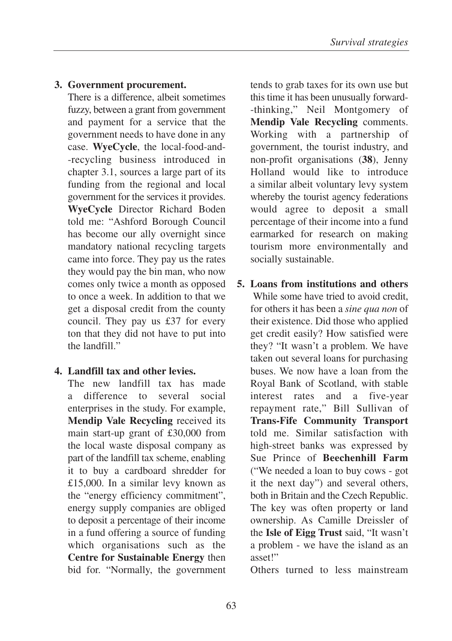## **3. Government procurement.**

There is a difference, albeit sometimes fuzzy, between a grant from government and payment for a service that the government needs to have done in any case. **WyeCycle**, the local-food-and- -recycling business introduced in chapter 3.1, sources a large part of its funding from the regional and local government for the services it provides. **WyeCycle** Director Richard Boden told me: "Ashford Borough Council has become our ally overnight since mandatory national recycling targets came into force. They pay us the rates they would pay the bin man, who now comes only twice a month as opposed to once a week. In addition to that we get a disposal credit from the county council. They pay us £37 for every ton that they did not have to put into the landfill."

### **4. Landfill tax and other levies.**

The new landfill tax has made a difference to several social enterprises in the study. For example, **Mendip Vale Recycling** received its main start-up grant of £30,000 from the local waste disposal company as part of the landfill tax scheme, enabling it to buy a cardboard shredder for £15,000. In a similar levy known as the "energy efficiency commitment", energy supply companies are obliged to deposit a percentage of their income in a fund offering a source of funding which organisations such as the **Centre for Sustainable Energy** then bid for. "Normally, the government

tends to grab taxes for its own use but this time it has been unusually forward- -thinking," Neil Montgomery of **Mendip Vale Recycling** comments. Working with a partnership of government, the tourist industry, and non-profit organisations (**38**), Jenny Holland would like to introduce a similar albeit voluntary levy system whereby the tourist agency federations would agree to deposit a small percentage of their income into a fund earmarked for research on making tourism more environmentally and socially sustainable.

**5. Loans from institutions and others** While some have tried to avoid credit, for others it has been a *sine qua non* of their existence. Did those who applied get credit easily? How satisfied were they? "It wasn't a problem. We have taken out several loans for purchasing buses. We now have a loan from the Royal Bank of Scotland, with stable interest rates and a five-year repayment rate," Bill Sullivan of **Trans-Fife Community Transport** told me. Similar satisfaction with high-street banks was expressed by Sue Prince of **Beechenhill Farm** ("We needed a loan to buy cows - got it the next day") and several others, both in Britain and the Czech Republic. The key was often property or land ownership. As Camille Dreissler of the **Isle of Eigg Trust** said, "It wasn't a problem - we have the island as an asset!"

Others turned to less mainstream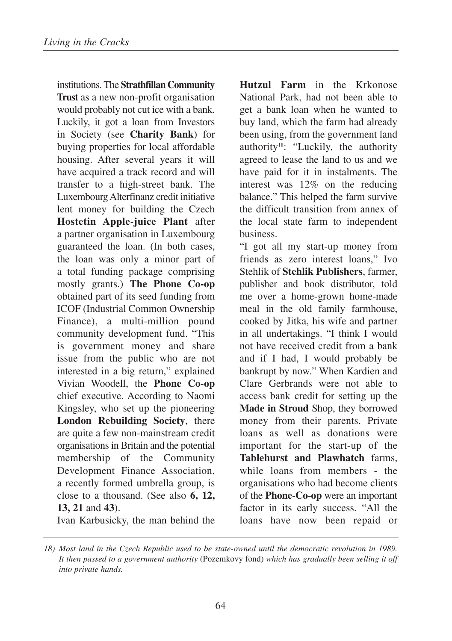institutions. The **Strathfillan Community Trust** as a new non-profit organisation would probably not cut ice with a bank. Luckily, it got a loan from Investors in Society (see **Charity Bank**) for buying properties for local affordable housing. After several years it will have acquired a track record and will transfer to a high-street bank. The Luxembourg Alterfinanz credit initiative lent money for building the Czech **Hostetin Apple-juice Plant** after a partner organisation in Luxembourg guaranteed the loan. (In both cases, the loan was only a minor part of a total funding package comprising mostly grants.) **The Phone Co-op** obtained part of its seed funding from ICOF (Industrial Common Ownership Finance), a multi-million pound community development fund. "This is government money and share issue from the public who are not interested in a big return," explained Vivian Woodell, the **Phone Co-op** chief executive. According to Naomi Kingsley, who set up the pioneering **London Rebuilding Society**, there are quite a few non-mainstream credit organisations in Britain and the potential membership of the Community Development Finance Association, a recently formed umbrella group, is close to a thousand. (See also **6, 12, 13, 21** and **43**).

Ivan Karbusicky, the man behind the

**Hutzul Farm** in the Krkonose National Park, had not been able to get a bank loan when he wanted to buy land, which the farm had already been using, from the government land authority<sup>18</sup>: "Luckily, the authority agreed to lease the land to us and we have paid for it in instalments. The interest was 12% on the reducing balance." This helped the farm survive the difficult transition from annex of the local state farm to independent business.

"I got all my start-up money from friends as zero interest loans," Ivo Stehlik of **Stehlik Publishers**, farmer, publisher and book distributor, told me over a home-grown home-made meal in the old family farmhouse, cooked by Jitka, his wife and partner in all undertakings. "I think I would not have received credit from a bank and if I had, I would probably be bankrupt by now." When Kardien and Clare Gerbrands were not able to access bank credit for setting up the **Made in Stroud** Shop, they borrowed money from their parents. Private loans as well as donations were important for the start-up of the **Tablehurst and Plawhatch** farms, while loans from members - the organisations who had become clients of the **Phone-Co-op** were an important factor in its early success. "All the loans have now been repaid or

*<sup>18)</sup> Most land in the Czech Republic used to be state-owned until the democratic revolution in 1989. It then passed to a government authority* (Pozemkovy fond) *which has gradually been selling it off into private hands.*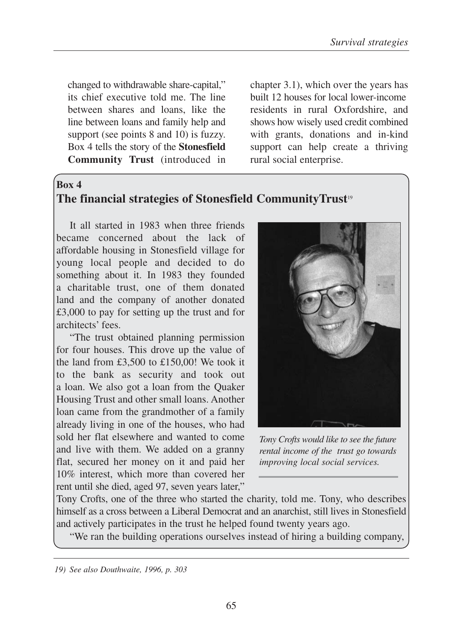changed to withdrawable share-capital," its chief executive told me. The line between shares and loans, like the line between loans and family help and support (see points 8 and 10) is fuzzy. Box 4 tells the story of the **Stonesfield Community Trust** (introduced in

chapter 3.1), which over the years has built 12 houses for local lower-income residents in rural Oxfordshire, and shows how wisely used credit combined with grants, donations and in-kind support can help create a thriving rural social enterprise.

#### **Box 4**

# **The financial strategies of Stonesfield CommunityTrust**<sup>19</sup>

It all started in 1983 when three friends became concerned about the lack of affordable housing in Stonesfield village for young local people and decided to do something about it. In 1983 they founded a charitable trust, one of them donated land and the company of another donated £3,000 to pay for setting up the trust and for architects' fees.

"The trust obtained planning permission for four houses. This drove up the value of the land from £3,500 to £150,00! We took it to the bank as security and took out a loan. We also got a loan from the Quaker Housing Trust and other small loans. Another loan came from the grandmother of a family already living in one of the houses, who had sold her flat elsewhere and wanted to come and live with them. We added on a granny flat, secured her money on it and paid her 10% interest, which more than covered her rent until she died, aged 97, seven years later,"



*Tony Crofts would like to see the future rental income of the trust go towards improving local social services.* 

Tony Crofts, one of the three who started the charity, told me. Tony, who describes himself as a cross between a Liberal Democrat and an anarchist, still lives in Stonesfield and actively participates in the trust he helped found twenty years ago.

"We ran the building operations ourselves instead of hiring a building company,

*19) See also Douthwaite, 1996, p. 303*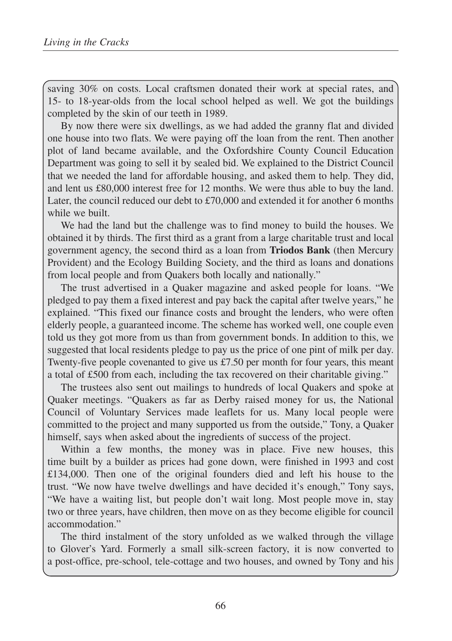saving 30% on costs. Local craftsmen donated their work at special rates, and 15- to 18-year-olds from the local school helped as well. We got the buildings completed by the skin of our teeth in 1989.

By now there were six dwellings, as we had added the granny flat and divided one house into two flats. We were paying off the loan from the rent. Then another plot of land became available, and the Oxfordshire County Council Education Department was going to sell it by sealed bid. We explained to the District Council that we needed the land for affordable housing, and asked them to help. They did, and lent us £80,000 interest free for 12 months. We were thus able to buy the land. Later, the council reduced our debt to  $£70,000$  and extended it for another 6 months while we built.

We had the land but the challenge was to find money to build the houses. We obtained it by thirds. The first third as a grant from a large charitable trust and local government agency, the second third as a loan from **Triodos Bank** (then Mercury Provident) and the Ecology Building Society, and the third as loans and donations from local people and from Quakers both locally and nationally."

The trust advertised in a Quaker magazine and asked people for loans. "We pledged to pay them a fixed interest and pay back the capital after twelve years," he explained. "This fixed our finance costs and brought the lenders, who were often elderly people, a guaranteed income. The scheme has worked well, one couple even told us they got more from us than from government bonds. In addition to this, we suggested that local residents pledge to pay us the price of one pint of milk per day. Twenty-five people covenanted to give us £7.50 per month for four years, this meant a total of £500 from each, including the tax recovered on their charitable giving."

The trustees also sent out mailings to hundreds of local Quakers and spoke at Quaker meetings. "Quakers as far as Derby raised money for us, the National Council of Voluntary Services made leaflets for us. Many local people were committed to the project and many supported us from the outside," Tony, a Quaker himself, says when asked about the ingredients of success of the project.

Within a few months, the money was in place. Five new houses, this time built by a builder as prices had gone down, were finished in 1993 and cost £134,000. Then one of the original founders died and left his house to the trust. "We now have twelve dwellings and have decided it's enough," Tony says, "We have a waiting list, but people don't wait long. Most people move in, stay two or three years, have children, then move on as they become eligible for council accommodation."

The third instalment of the story unfolded as we walked through the village to Glover's Yard. Formerly a small silk-screen factory, it is now converted to a post-office, pre-school, tele-cottage and two houses, and owned by Tony and his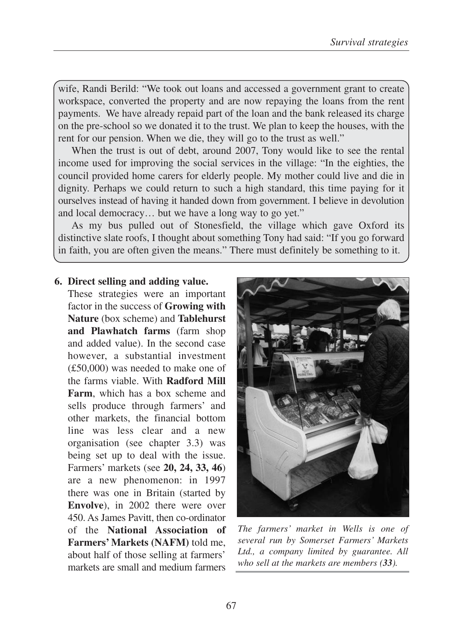wife, Randi Berild: "We took out loans and accessed a government grant to create workspace, converted the property and are now repaying the loans from the rent payments. We have already repaid part of the loan and the bank released its charge on the pre-school so we donated it to the trust. We plan to keep the houses, with the rent for our pension. When we die, they will go to the trust as well."

When the trust is out of debt, around 2007, Tony would like to see the rental income used for improving the social services in the village: "In the eighties, the council provided home carers for elderly people. My mother could live and die in dignity. Perhaps we could return to such a high standard, this time paying for it ourselves instead of having it handed down from government. I believe in devolution and local democracy… but we have a long way to go yet."

As my bus pulled out of Stonesfield, the village which gave Oxford its distinctive slate roofs, I thought about something Tony had said: "If you go forward in faith, you are often given the means." There must definitely be something to it.

#### **6. Direct selling and adding value.**

These strategies were an important factor in the success of **Growing with Nature** (box scheme) and **Tablehurst and Plawhatch farms** (farm shop and added value). In the second case however, a substantial investment (£50,000) was needed to make one of the farms viable. With **Radford Mill Farm**, which has a box scheme and sells produce through farmers' and other markets, the financial bottom line was less clear and a new organisation (see chapter 3.3) was being set up to deal with the issue. Farmers' markets (see **20, 24, 33, 46**) are a new phenomenon: in 1997 there was one in Britain (started by **Envolve**), in 2002 there were over 450. As James Pavitt, then co-ordinator of the **National Association of Farmers' Markets (NAFM)** told me, about half of those selling at farmers' markets are small and medium farmers



*The farmers' market in Wells is one of several run by Somerset Farmers' Markets Ltd., a company limited by guarantee. All who sell at the markets are members (33).*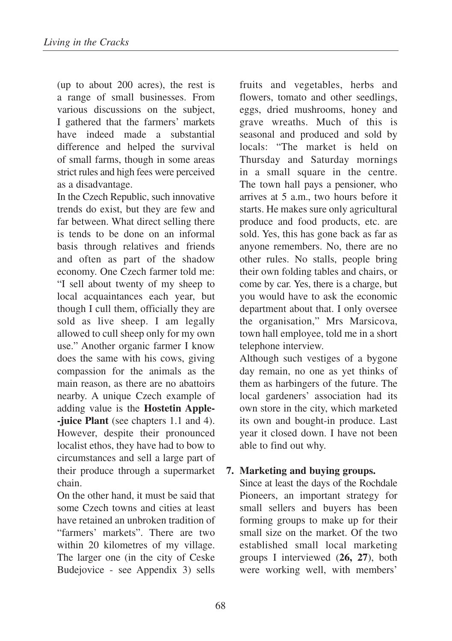(up to about 200 acres), the rest is a range of small businesses. From various discussions on the subject, I gathered that the farmers' markets have indeed made a substantial difference and helped the survival of small farms, though in some areas strict rules and high fees were perceived as a disadvantage.

In the Czech Republic, such innovative trends do exist, but they are few and far between. What direct selling there is tends to be done on an informal basis through relatives and friends and often as part of the shadow economy. One Czech farmer told me: "I sell about twenty of my sheep to local acquaintances each year, but though I cull them, officially they are sold as live sheep. I am legally allowed to cull sheep only for my own use." Another organic farmer I know does the same with his cows, giving compassion for the animals as the main reason, as there are no abattoirs nearby. A unique Czech example of adding value is the **Hostetin Apple- -juice Plant** (see chapters 1.1 and 4). However, despite their pronounced localist ethos, they have had to bow to circumstances and sell a large part of their produce through a supermarket chain.

On the other hand, it must be said that some Czech towns and cities at least have retained an unbroken tradition of "farmers' markets". There are two within 20 kilometres of my village. The larger one (in the city of Ceske Budejovice - see Appendix 3) sells

fruits and vegetables, herbs and flowers, tomato and other seedlings, eggs, dried mushrooms, honey and grave wreaths. Much of this is seasonal and produced and sold by locals: "The market is held on Thursday and Saturday mornings in a small square in the centre. The town hall pays a pensioner, who arrives at 5 a.m., two hours before it starts. He makes sure only agricultural produce and food products, etc. are sold. Yes, this has gone back as far as anyone remembers. No, there are no other rules. No stalls, people bring their own folding tables and chairs, or come by car. Yes, there is a charge, but you would have to ask the economic department about that. I only oversee the organisation," Mrs Marsicova, town hall employee, told me in a short telephone interview.

Although such vestiges of a bygone day remain, no one as yet thinks of them as harbingers of the future. The local gardeners' association had its own store in the city, which marketed its own and bought-in produce. Last year it closed down. I have not been able to find out why.

### **7. Marketing and buying groups.**

Since at least the days of the Rochdale Pioneers, an important strategy for small sellers and buyers has been forming groups to make up for their small size on the market. Of the two established small local marketing groups I interviewed (**26, 27**), both were working well, with members'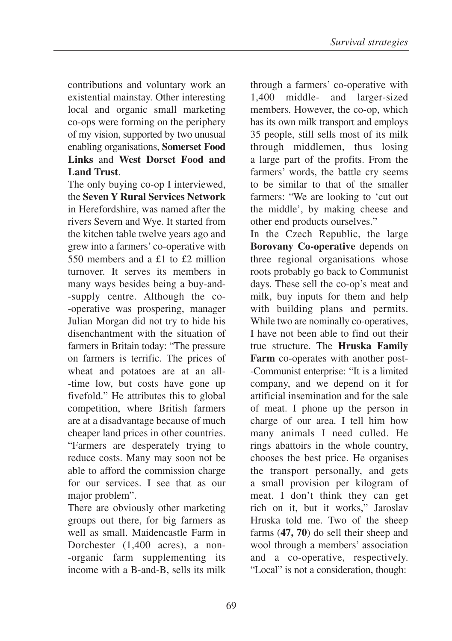contributions and voluntary work an existential mainstay. Other interesting local and organic small marketing co-ops were forming on the periphery of my vision, supported by two unusual enabling organisations, **Somerset Food Links** and **West Dorset Food and Land Trust**.

The only buying co-op I interviewed, the **Seven Y Rural Services Network** in Herefordshire, was named after the rivers Severn and Wye. It started from the kitchen table twelve years ago and grew into a farmers' co-operative with 550 members and a £1 to £2 million turnover. It serves its members in many ways besides being a buy-and- -supply centre. Although the co- -operative was prospering, manager Julian Morgan did not try to hide his disenchantment with the situation of farmers in Britain today: "The pressure on farmers is terrific. The prices of wheat and potatoes are at an all- -time low, but costs have gone up fivefold." He attributes this to global competition, where British farmers are at a disadvantage because of much cheaper land prices in other countries. "Farmers are desperately trying to reduce costs. Many may soon not be able to afford the commission charge for our services. I see that as our major problem".

There are obviously other marketing groups out there, for big farmers as well as small. Maidencastle Farm in Dorchester (1,400 acres), a non- -organic farm supplementing its income with a B-and-B, sells its milk

through a farmers' co-operative with 1,400 middle- and larger-sized members. However, the co-op, which has its own milk transport and employs 35 people, still sells most of its milk through middlemen, thus losing a large part of the profits. From the farmers' words, the battle cry seems to be similar to that of the smaller farmers: "We are looking to 'cut out the middle', by making cheese and other end products ourselves."

In the Czech Republic, the large **Borovany Co-operative** depends on three regional organisations whose roots probably go back to Communist days. These sell the co-op's meat and milk, buy inputs for them and help with building plans and permits. While two are nominally co-operatives, I have not been able to find out their true structure. The **Hruska Family Farm** co-operates with another post- -Communist enterprise: "It is a limited company, and we depend on it for artificial insemination and for the sale of meat. I phone up the person in charge of our area. I tell him how many animals I need culled. He rings abattoirs in the whole country, chooses the best price. He organises the transport personally, and gets a small provision per kilogram of meat. I don't think they can get rich on it, but it works," Jaroslav Hruska told me. Two of the sheep farms (**47, 70**) do sell their sheep and wool through a members' association and a co-operative, respectively. "Local" is not a consideration, though: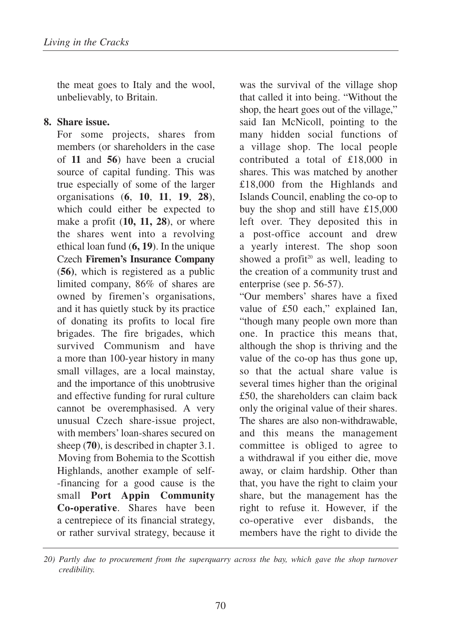the meat goes to Italy and the wool, unbelievably, to Britain.

### **8. Share issue.**

For some projects, shares from members (or shareholders in the case of **11** and **56**) have been a crucial source of capital funding. This was true especially of some of the larger organisations (**6**, **10**, **11**, **19**, **28**), which could either be expected to make a profit (**10, 11, 28**), or where the shares went into a revolving ethical loan fund (**6, 19**). In the unique Czech **Firemen's Insurance Company** (**56)**, which is registered as a public limited company, 86% of shares are owned by firemen's organisations, and it has quietly stuck by its practice of donating its profits to local fire brigades. The fire brigades, which survived Communism and have a more than 100-year history in many small villages, are a local mainstay, and the importance of this unobtrusive and effective funding for rural culture cannot be overemphasised. A very unusual Czech share-issue project, with members' loan-shares secured on sheep (**70**), is described in chapter 3.1. Moving from Bohemia to the Scottish Highlands, another example of self- -financing for a good cause is the small **Port Appin Community Co-operative**. Shares have been a centrepiece of its financial strategy, or rather survival strategy, because it

was the survival of the village shop that called it into being. "Without the shop, the heart goes out of the village," said Ian McNicoll, pointing to the many hidden social functions of a village shop. The local people contributed a total of £18,000 in shares. This was matched by another £18,000 from the Highlands and Islands Council, enabling the co-op to buy the shop and still have £15,000 left over. They deposited this in a post-office account and drew a yearly interest. The shop soon showed a profit<sup>20</sup> as well, leading to the creation of a community trust and enterprise (see p. 56-57).

"Our members' shares have a fixed value of £50 each," explained Ian, "though many people own more than one. In practice this means that, although the shop is thriving and the value of the co-op has thus gone up, so that the actual share value is several times higher than the original £50, the shareholders can claim back only the original value of their shares. The shares are also non-withdrawable, and this means the management committee is obliged to agree to a withdrawal if you either die, move away, or claim hardship. Other than that, you have the right to claim your share, but the management has the right to refuse it. However, if the co-operative ever disbands, the members have the right to divide the

*<sup>20)</sup> Partly due to procurement from the superquarry across the bay, which gave the shop turnover credibility.*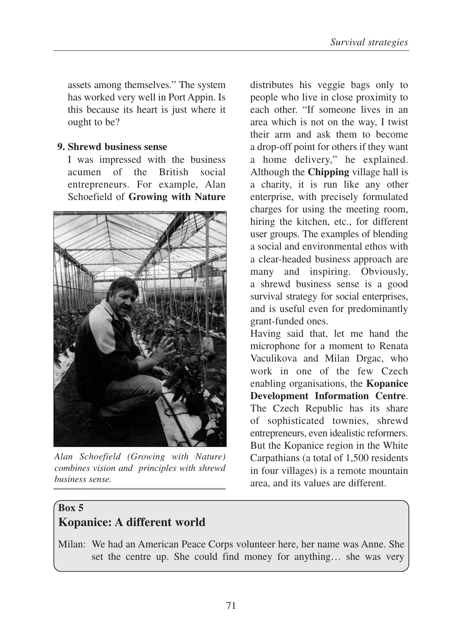assets among themselves." The system has worked very well in Port Appin. Is this because its heart is just where it ought to be?

#### **9. Shrewd business sense**

I was impressed with the business acumen of the British social entrepreneurs. For example, Alan Schoefield of **Growing with Nature**



*Alan Schoefield (Growing with Nature) combines vision and principles with shrewd business sense.*

distributes his veggie bags only to people who live in close proximity to each other. "If someone lives in an area which is not on the way, I twist their arm and ask them to become a drop-off point for others if they want a home delivery," he explained. Although the **Chipping** village hall is a charity, it is run like any other enterprise, with precisely formulated charges for using the meeting room, hiring the kitchen, etc., for different user groups. The examples of blending a social and environmental ethos with a clear-headed business approach are many and inspiring. Obviously, a shrewd business sense is a good survival strategy for social enterprises, and is useful even for predominantly grant-funded ones.

Having said that, let me hand the microphone for a moment to Renata Vaculikova and Milan Drgac, who work in one of the few Czech enabling organisations, the **Kopanice Development Information Centre**. The Czech Republic has its share of sophisticated townies, shrewd entrepreneurs, even idealistic reformers. But the Kopanice region in the White Carpathians (a total of 1,500 residents in four villages) is a remote mountain area, and its values are different.

## **Box 5 Kopanice: A different world**

Milan: We had an American Peace Corps volunteer here, her name was Anne. She set the centre up. She could find money for anything… she was very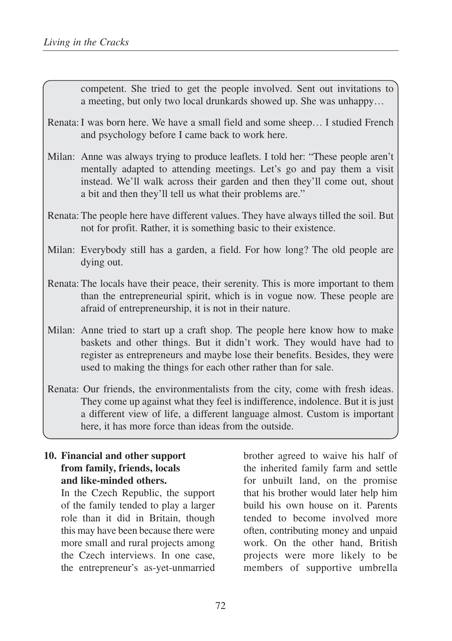competent. She tried to get the people involved. Sent out invitations to a meeting, but only two local drunkards showed up. She was unhappy…

- Renata: I was born here. We have a small field and some sheep… I studied French and psychology before I came back to work here.
- Milan: Anne was always trying to produce leaflets. I told her: "These people aren't mentally adapted to attending meetings. Let's go and pay them a visit instead. We'll walk across their garden and then they'll come out, shout a bit and then they'll tell us what their problems are."
- Renata: The people here have different values. They have always tilled the soil. But not for profit. Rather, it is something basic to their existence.
- Milan: Everybody still has a garden, a field. For how long? The old people are dying out.
- Renata: The locals have their peace, their serenity. This is more important to them than the entrepreneurial spirit, which is in vogue now. These people are afraid of entrepreneurship, it is not in their nature.
- Milan: Anne tried to start up a craft shop. The people here know how to make baskets and other things. But it didn't work. They would have had to register as entrepreneurs and maybe lose their benefits. Besides, they were used to making the things for each other rather than for sale.
- Renata: Our friends, the environmentalists from the city, come with fresh ideas. They come up against what they feel is indifference, indolence. But it is just a different view of life, a different language almost. Custom is important here, it has more force than ideas from the outside.

### **10. Financial and other support from family, friends, locals and like-minded others.**

In the Czech Republic, the support of the family tended to play a larger role than it did in Britain, though this may have been because there were more small and rural projects among the Czech interviews. In one case, the entrepreneur's as-yet-unmarried brother agreed to waive his half of the inherited family farm and settle for unbuilt land, on the promise that his brother would later help him build his own house on it. Parents tended to become involved more often, contributing money and unpaid work. On the other hand, British projects were more likely to be members of supportive umbrella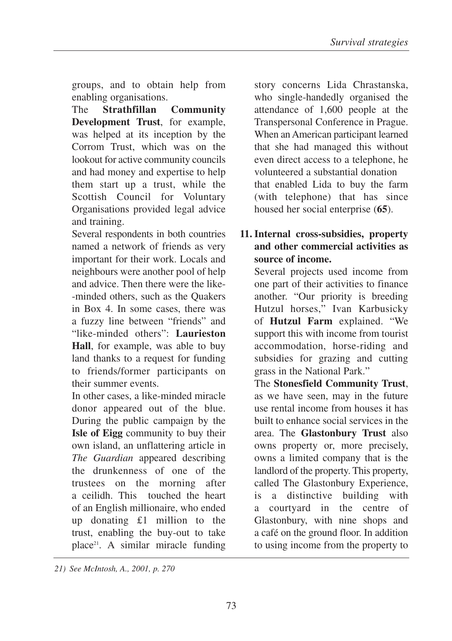groups, and to obtain help from enabling organisations.

The **Strathfillan Community Development Trust**, for example, was helped at its inception by the Corrom Trust, which was on the lookout for active community councils and had money and expertise to help them start up a trust, while the Scottish Council for Voluntary Organisations provided legal advice and training.

Several respondents in both countries named a network of friends as very important for their work. Locals and neighbours were another pool of help and advice. Then there were the like- -minded others, such as the Quakers in Box 4. In some cases, there was a fuzzy line between "friends" and "like-minded others": **Laurieston Hall**, for example, was able to buy land thanks to a request for funding to friends/former participants on their summer events.

In other cases, a like-minded miracle donor appeared out of the blue. During the public campaign by the **Isle of Eigg** community to buy their own island, an unflattering article in *The Guardian* appeared describing the drunkenness of one of the trustees on the morning after a ceilidh. This touched the heart of an English millionaire, who ended up donating £1 million to the trust, enabling the buy-out to take place<sup>21</sup>. A similar miracle funding

story concerns Lida Chrastanska, who single-handedly organised the attendance of 1,600 people at the Transpersonal Conference in Prague. When an American participant learned that she had managed this without even direct access to a telephone, he volunteered a substantial donation that enabled Lida to buy the farm (with telephone) that has since housed her social enterprise (**65**).

## **11. Internal cross-subsidies, property and other commercial activities as source of income.**

Several projects used income from one part of their activities to finance another. "Our priority is breeding Hutzul horses," Ivan Karbusicky of **Hutzul Farm** explained. "We support this with income from tourist accommodation, horse-riding and subsidies for grazing and cutting grass in the National Park."

The **Stonesfield Community Trust**, as we have seen, may in the future use rental income from houses it has built to enhance social services in the area. The **Glastonbury Trust** also owns property or, more precisely, owns a limited company that is the landlord of the property. This property, called The Glastonbury Experience, is a distinctive building with a courtyard in the centre of Glastonbury, with nine shops and a café on the ground floor. In addition to using income from the property to

*<sup>21)</sup> See McIntosh, A., 2001, p. 270*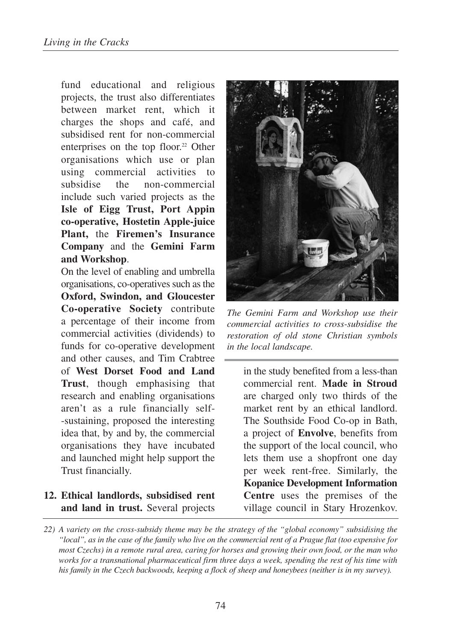fund educational and religious projects, the trust also differentiates between market rent, which it charges the shops and café, and subsidised rent for non-commercial enterprises on the top floor.<sup>22</sup> Other organisations which use or plan using commercial activities to subsidise the non-commercial include such varied projects as the **Isle of Eigg Trust, Port Appin co-operative, Hostetin Apple-juice Plant,** the **Firemen's Insurance Company** and the **Gemini Farm and Workshop**.

On the level of enabling and umbrella organisations, co-operatives such as the **Oxford, Swindon, and Gloucester Co-operative Society** contribute a percentage of their income from commercial activities (dividends) to funds for co-operative development and other causes, and Tim Crabtree of **West Dorset Food and Land Trust**, though emphasising that research and enabling organisations aren't as a rule financially self- -sustaining, proposed the interesting idea that, by and by, the commercial organisations they have incubated and launched might help support the Trust financially.

### **12. Ethical landlords, subsidised rent and land in trust.** Several projects



*The Gemini Farm and Workshop use their commercial activities to cross-subsidise the restoration of old stone Christian symbols in the local landscape.* 

in the study benefited from a less-than commercial rent. **Made in Stroud** are charged only two thirds of the market rent by an ethical landlord. The Southside Food Co-op in Bath, a project of **Envolve**, benefits from the support of the local council, who lets them use a shopfront one day per week rent-free. Similarly, the **Kopanice Development Information Centre** uses the premises of the village council in Stary Hrozenkov.

*<sup>22)</sup> A variety on the cross-subsidy theme may be the strategy of the "global economy" subsidising the "local", as in the case of the family who live on the commercial rent of a Prague flat (too expensive for most Czechs) in a remote rural area, caring for horses and growing their own food, or the man who works for a transnational pharmaceutical firm three days a week, spending the rest of his time with his family in the Czech backwoods, keeping a flock of sheep and honeybees (neither is in my survey).*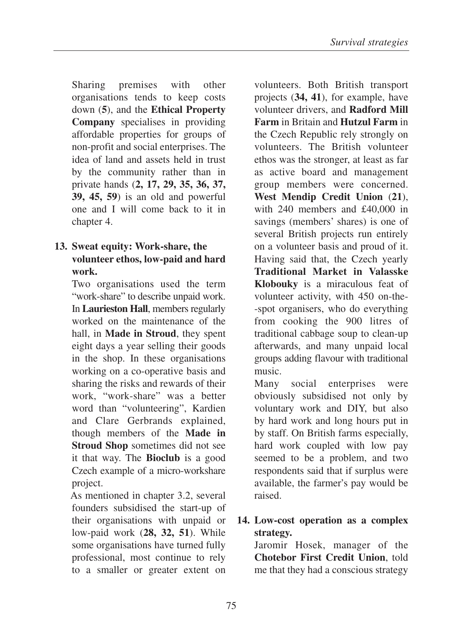Sharing premises with other organisations tends to keep costs down (**5**), and the **Ethical Property Company** specialises in providing affordable properties for groups of non-profit and social enterprises. The idea of land and assets held in trust by the community rather than in private hands (**2, 17, 29, 35, 36, 37, 39, 45, 59**) is an old and powerful one and I will come back to it in chapter 4.

### **13. Sweat equity: Work-share, the volunteer ethos, low-paid and hard work.**

Two organisations used the term "work-share" to describe unpaid work. In **Laurieston Hall**, members regularly worked on the maintenance of the hall, in **Made in Stroud**, they spent eight days a year selling their goods in the shop. In these organisations working on a co-operative basis and sharing the risks and rewards of their work, "work-share" was a better word than "volunteering", Kardien and Clare Gerbrands explained, though members of the **Made in Stroud Shop** sometimes did not see it that way. The **Bioclub** is a good Czech example of a micro-workshare project.

As mentioned in chapter 3.2, several founders subsidised the start-up of their organisations with unpaid or low-paid work (**28, 32, 51**). While some organisations have turned fully professional, most continue to rely to a smaller or greater extent on

volunteers. Both British transport projects (**34, 41**), for example, have volunteer drivers, and **Radford Mill Farm** in Britain and **Hutzul Farm** in the Czech Republic rely strongly on volunteers. The British volunteer ethos was the stronger, at least as far as active board and management group members were concerned. **West Mendip Credit Union** (**21**), with 240 members and £40,000 in savings (members' shares) is one of several British projects run entirely on a volunteer basis and proud of it. Having said that, the Czech yearly **Traditional Market in Valasske Klobouky** is a miraculous feat of volunteer activity, with 450 on-the- -spot organisers, who do everything from cooking the 900 litres of traditional cabbage soup to clean-up afterwards, and many unpaid local groups adding flavour with traditional music.

Many social enterprises were obviously subsidised not only by voluntary work and DIY, but also by hard work and long hours put in by staff. On British farms especially, hard work coupled with low pay seemed to be a problem, and two respondents said that if surplus were available, the farmer's pay would be raised.

## **14. Low-cost operation as a complex strategy.**

Jaromir Hosek, manager of the **Chotebor First Credit Union**, told me that they had a conscious strategy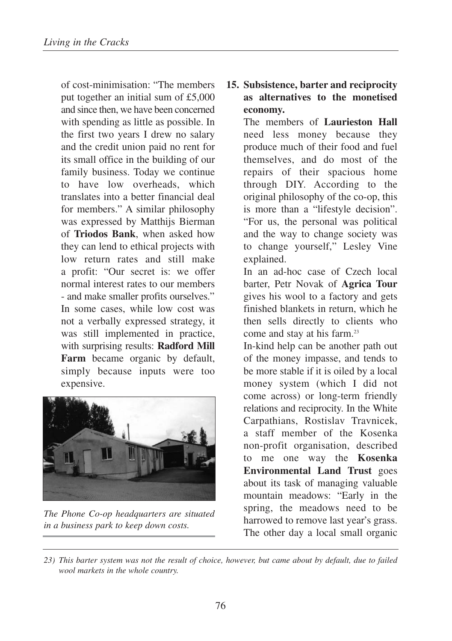of cost-minimisation: "The members put together an initial sum of £5,000 and since then, we have been concerned with spending as little as possible. In the first two years I drew no salary and the credit union paid no rent for its small office in the building of our family business. Today we continue to have low overheads, which translates into a better financial deal for members." A similar philosophy was expressed by Matthijs Bierman of **Triodos Bank**, when asked how they can lend to ethical projects with low return rates and still make a profit: "Our secret is: we offer normal interest rates to our members - and make smaller profits ourselves." In some cases, while low cost was not a verbally expressed strategy, it was still implemented in practice, with surprising results: **Radford Mill Farm** became organic by default, simply because inputs were too expensive.



*The Phone Co-op headquarters are situated in a business park to keep down costs.* 

## **15. Subsistence, barter and reciprocity as alternatives to the monetised economy.**

The members of **Laurieston Hall** need less money because they produce much of their food and fuel themselves, and do most of the repairs of their spacious home through DIY. According to the original philosophy of the co-op, this is more than a "lifestyle decision". "For us, the personal was political and the way to change society was to change yourself," Lesley Vine explained.

In an ad-hoc case of Czech local barter, Petr Novak of **Agrica Tour** gives his wool to a factory and gets finished blankets in return, which he then sells directly to clients who come and stay at his farm.23

In-kind help can be another path out of the money impasse, and tends to be more stable if it is oiled by a local money system (which I did not come across) or long-term friendly relations and reciprocity. In the White Carpathians, Rostislav Travnicek, a staff member of the Kosenka non-profit organisation, described to me one way the **Kosenka Environmental Land Trust** goes about its task of managing valuable mountain meadows: "Early in the spring, the meadows need to be harrowed to remove last year's grass. The other day a local small organic

*<sup>23)</sup> This barter system was not the result of choice, however, but came about by default, due to failed wool markets in the whole country.*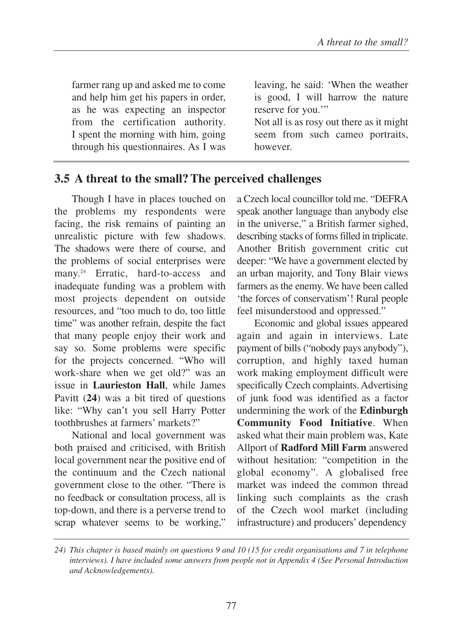farmer rang up and asked me to come and help him get his papers in order, as he was expecting an inspector from the certification authority. I spent the morning with him, going through his questionnaires. As I was

leaving, he said: 'When the weather is good, I will harrow the nature reserve for you."

Not all is as rosy out there as it might seem from such cameo portraits, however.

## **3.5 A threat to the small? The perceived challenges**

Though I have in places touched on the problems my respondents were facing, the risk remains of painting an unrealistic picture with few shadows. The shadows were there of course, and the problems of social enterprises were many.<sup>24</sup> Erratic, hard-to-access and inadequate funding was a problem with most projects dependent on outside resources, and "too much to do, too little time" was another refrain, despite the fact that many people enjoy their work and say so. Some problems were specific for the projects concerned. "Who will work-share when we get old?" was an issue in **Laurieston Hall**, while James Pavitt (**24**) was a bit tired of questions like: "Why can't you sell Harry Potter toothbrushes at farmers' markets?"

National and local government was both praised and criticised, with British local government near the positive end of the continuum and the Czech national government close to the other. "There is no feedback or consultation process, all is top-down, and there is a perverse trend to scrap whatever seems to be working,"

a Czech local councillor told me. "DEFRA speak another language than anybody else in the universe," a British farmer sighed, describing stacks of forms filled in triplicate. Another British government critic cut deeper: "We have a government elected by an urban majority, and Tony Blair views farmers as the enemy. We have been called 'the forces of conservatism'! Rural people feel misunderstood and oppressed."

Economic and global issues appeared again and again in interviews. Late payment of bills ("nobody pays anybody"), corruption, and highly taxed human work making employment difficult were specifically Czech complaints. Advertising of junk food was identified as a factor undermining the work of the **Edinburgh Community Food Initiative**. When asked what their main problem was, Kate Allport of **Radford Mill Farm** answered without hesitation: "competition in the global economy". A globalised free market was indeed the common thread linking such complaints as the crash of the Czech wool market (including infrastructure) and producers' dependency

*<sup>24)</sup> This chapter is based mainly on questions 9 and 10 (15 for credit organisations and 7 in telephone interviews). I have included some answers from people not in Appendix 4 (See Personal Introduction and Acknowledgements).*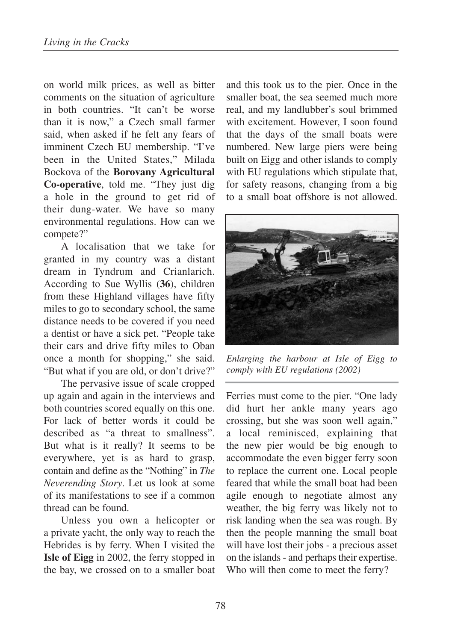on world milk prices, as well as bitter comments on the situation of agriculture in both countries. "It can't be worse than it is now," a Czech small farmer said, when asked if he felt any fears of imminent Czech EU membership. "I've been in the United States," Milada Bockova of the **Borovany Agricultural Co-operative**, told me. "They just dig a hole in the ground to get rid of their dung-water. We have so many environmental regulations. How can we compete?"

A localisation that we take for granted in my country was a distant dream in Tyndrum and Crianlarich. According to Sue Wyllis (**36**), children from these Highland villages have fifty miles to go to secondary school, the same distance needs to be covered if you need a dentist or have a sick pet. "People take their cars and drive fifty miles to Oban once a month for shopping," she said. "But what if you are old, or don't drive?"

The pervasive issue of scale cropped up again and again in the interviews and both countries scored equally on this one. For lack of better words it could be described as "a threat to smallness". But what is it really? It seems to be everywhere, yet is as hard to grasp, contain and define as the "Nothing" in *The Neverending Story*. Let us look at some of its manifestations to see if a common thread can be found.

Unless you own a helicopter or a private yacht, the only way to reach the Hebrides is by ferry. When I visited the **Isle of Eigg** in 2002, the ferry stopped in the bay, we crossed on to a smaller boat and this took us to the pier. Once in the smaller boat, the sea seemed much more real, and my landlubber's soul brimmed with excitement. However, I soon found that the days of the small boats were numbered. New large piers were being built on Eigg and other islands to comply with EU regulations which stipulate that, for safety reasons, changing from a big to a small boat offshore is not allowed.



*Enlarging the harbour at Isle of Eigg to comply with EU regulations (2002)*

Ferries must come to the pier. "One lady did hurt her ankle many years ago crossing, but she was soon well again," a local reminisced, explaining that the new pier would be big enough to accommodate the even bigger ferry soon to replace the current one. Local people feared that while the small boat had been agile enough to negotiate almost any weather, the big ferry was likely not to risk landing when the sea was rough. By then the people manning the small boat will have lost their jobs - a precious asset on the islands - and perhaps their expertise. Who will then come to meet the ferry?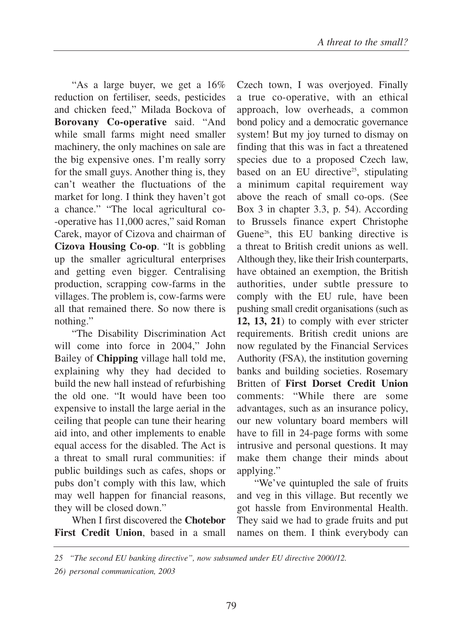"As a large buyer, we get a 16% reduction on fertiliser, seeds, pesticides and chicken feed," Milada Bockova of **Borovany Co-operative** said. "And while small farms might need smaller machinery, the only machines on sale are the big expensive ones. I'm really sorry for the small guys. Another thing is, they can't weather the fluctuations of the market for long. I think they haven't got a chance." "The local agricultural co- -operative has 11,000 acres," said Roman Carek, mayor of Cizova and chairman of **Cizova Housing Co-op**. "It is gobbling up the smaller agricultural enterprises and getting even bigger. Centralising production, scrapping cow-farms in the villages. The problem is, cow-farms were all that remained there. So now there is nothing."

"The Disability Discrimination Act will come into force in 2004," John Bailey of **Chipping** village hall told me, explaining why they had decided to build the new hall instead of refurbishing the old one. "It would have been too expensive to install the large aerial in the ceiling that people can tune their hearing aid into, and other implements to enable equal access for the disabled. The Act is a threat to small rural communities: if public buildings such as cafes, shops or pubs don't comply with this law, which may well happen for financial reasons, they will be closed down."

When I first discovered the **Chotebor First Credit Union**, based in a small Czech town, I was overjoyed. Finally a true co-operative, with an ethical approach, low overheads, a common bond policy and a democratic governance system! But my joy turned to dismay on finding that this was in fact a threatened species due to a proposed Czech law, based on an EU directive<sup>25</sup>, stipulating a minimum capital requirement way above the reach of small co-ops. (See Box 3 in chapter 3.3, p. 54). According to Brussels finance expert Christophe Guene<sup>26</sup>, this EU banking directive is a threat to British credit unions as well. Although they, like their Irish counterparts, have obtained an exemption, the British authorities, under subtle pressure to comply with the EU rule, have been pushing small credit organisations (such as **12, 13, 21**) to comply with ever stricter requirements. British credit unions are now regulated by the Financial Services Authority (FSA), the institution governing banks and building societies. Rosemary Britten of **First Dorset Credit Union** comments: "While there are some advantages, such as an insurance policy, our new voluntary board members will have to fill in 24-page forms with some intrusive and personal questions. It may make them change their minds about applying."

"We've quintupled the sale of fruits and veg in this village. But recently we got hassle from Environmental Health. They said we had to grade fruits and put names on them. I think everybody can

*<sup>25 &</sup>quot;The second EU banking directive", now subsumed under EU directive 2000/12.*

*<sup>26)</sup> personal communication, 2003*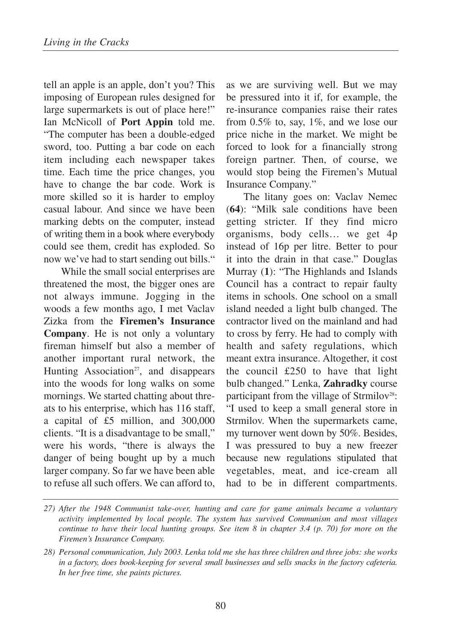tell an apple is an apple, don't you? This imposing of European rules designed for large supermarkets is out of place here!" Ian McNicoll of **Port Appin** told me. "The computer has been a double-edged sword, too. Putting a bar code on each item including each newspaper takes time. Each time the price changes, you have to change the bar code. Work is more skilled so it is harder to employ casual labour. And since we have been marking debts on the computer, instead of writing them in a book where everybody could see them, credit has exploded. So now we've had to start sending out bills."

While the small social enterprises are threatened the most, the bigger ones are not always immune. Jogging in the woods a few months ago, I met Vaclav Zizka from the **Firemen's Insurance Company**. He is not only a voluntary fireman himself but also a member of another important rural network, the Hunting Association<sup>27</sup>, and disappears into the woods for long walks on some mornings. We started chatting about threats to his enterprise, which has 116 staff, a capital of £5 million, and 300,000 clients. "It is a disadvantage to be small," were his words, "there is always the danger of being bought up by a much larger company. So far we have been able to refuse all such offers. We can afford to,

as we are surviving well. But we may be pressured into it if, for example, the re-insurance companies raise their rates from  $0.5\%$  to, say,  $1\%$ , and we lose our price niche in the market. We might be forced to look for a financially strong foreign partner. Then, of course, we would stop being the Firemen's Mutual Insurance Company."

The litany goes on: Vaclav Nemec (**64**): "Milk sale conditions have been getting stricter. If they find micro organisms, body cells… we get 4p instead of 16p per litre. Better to pour it into the drain in that case." Douglas Murray (**1**): "The Highlands and Islands Council has a contract to repair faulty items in schools. One school on a small island needed a light bulb changed. The contractor lived on the mainland and had to cross by ferry. He had to comply with health and safety regulations, which meant extra insurance. Altogether, it cost the council £250 to have that light bulb changed." Lenka, **Zahradky** course participant from the village of Strmilov<sup>28</sup>: "I used to keep a small general store in Strmilov. When the supermarkets came, my turnover went down by 50%. Besides, I was pressured to buy a new freezer because new regulations stipulated that vegetables, meat, and ice-cream all had to be in different compartments.

*<sup>27)</sup> After the 1948 Communist take-over, hunting and care for game animals became a voluntary activity implemented by local people. The system has survived Communism and most villages continue to have their local hunting groups. See item 8 in chapter 3.4 (p. 70) for more on the Firemen's Insurance Company.*

*<sup>28)</sup> Personal communication, July 2003. Lenka told me she has three children and three jobs: she works in a factory, does book-keeping for several small businesses and sells snacks in the factory cafeteria. In her free time, she paints pictures.*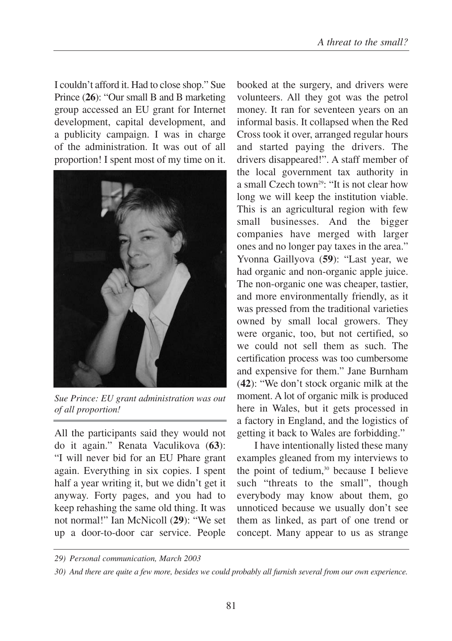I couldn't afford it. Had to close shop." Sue Prince (**26**): "Our small B and B marketing group accessed an EU grant for Internet development, capital development, and a publicity campaign. I was in charge of the administration. It was out of all proportion! I spent most of my time on it.



*Sue Prince: EU grant administration was out of all proportion!*

All the participants said they would not do it again." Renata Vaculikova (**63**): "I will never bid for an EU Phare grant again. Everything in six copies. I spent half a year writing it, but we didn't get it anyway. Forty pages, and you had to keep rehashing the same old thing. It was not normal!" Ian McNicoll (**29**): "We set up a door-to-door car service. People

booked at the surgery, and drivers were volunteers. All they got was the petrol money. It ran for seventeen years on an informal basis. It collapsed when the Red Cross took it over, arranged regular hours and started paying the drivers. The drivers disappeared!". A staff member of the local government tax authority in a small Czech town<sup>29</sup>: "It is not clear how long we will keep the institution viable. This is an agricultural region with few small businesses. And the bigger companies have merged with larger ones and no longer pay taxes in the area." Yvonna Gaillyova (**59**): "Last year, we had organic and non-organic apple juice. The non-organic one was cheaper, tastier, and more environmentally friendly, as it was pressed from the traditional varieties owned by small local growers. They were organic, too, but not certified, so we could not sell them as such. The certification process was too cumbersome and expensive for them." Jane Burnham (**42**): "We don't stock organic milk at the moment. A lot of organic milk is produced here in Wales, but it gets processed in a factory in England, and the logistics of getting it back to Wales are forbidding."

I have intentionally listed these many examples gleaned from my interviews to the point of tedium,<sup>30</sup> because I believe such "threats to the small", though everybody may know about them, go unnoticed because we usually don't see them as linked, as part of one trend or concept. Many appear to us as strange

*<sup>29)</sup> Personal communication, March 2003*

*<sup>30)</sup> And there are quite a few more, besides we could probably all furnish several from our own experience.*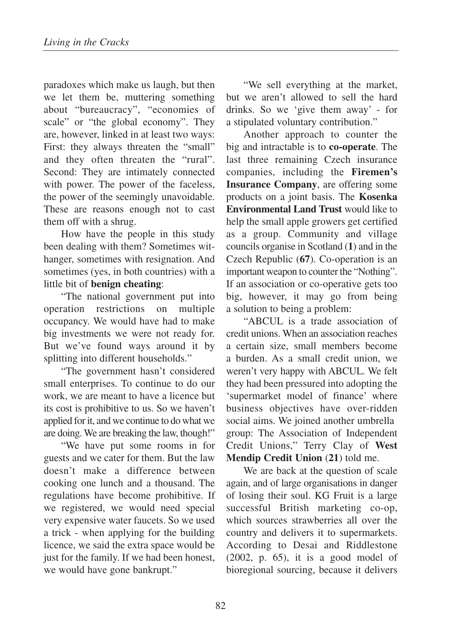paradoxes which make us laugh, but then we let them be, muttering something about "bureaucracy", "economies of scale" or "the global economy". They are, however, linked in at least two ways: First: they always threaten the "small" and they often threaten the "rural". Second: They are intimately connected with power. The power of the faceless, the power of the seemingly unavoidable. These are reasons enough not to cast them off with a shrug.

How have the people in this study been dealing with them? Sometimes withanger, sometimes with resignation. And sometimes (yes, in both countries) with a little bit of **benign cheating**:

"The national government put into operation restrictions on multiple occupancy. We would have had to make big investments we were not ready for. But we've found ways around it by splitting into different households."

"The government hasn't considered small enterprises. To continue to do our work, we are meant to have a licence but its cost is prohibitive to us. So we haven't applied for it, and we continue to do what we are doing. We are breaking the law, though!"

"We have put some rooms in for guests and we cater for them. But the law doesn't make a difference between cooking one lunch and a thousand. The regulations have become prohibitive. If we registered, we would need special very expensive water faucets. So we used a trick - when applying for the building licence, we said the extra space would be just for the family. If we had been honest, we would have gone bankrupt."

"We sell everything at the market, but we aren't allowed to sell the hard drinks. So we 'give them away' - for a stipulated voluntary contribution."

Another approach to counter the big and intractable is to **co-operate**. The last three remaining Czech insurance companies, including the **Firemen's Insurance Company**, are offering some products on a joint basis. The **Kosenka Environmental Land Trust** would like to help the small apple growers get certified as a group. Community and village councils organise in Scotland (**1**) and in the Czech Republic (**67**). Co-operation is an important weapon to counter the "Nothing". If an association or co-operative gets too big, however, it may go from being a solution to being a problem:

"ABCUL is a trade association of credit unions. When an association reaches a certain size, small members become a burden. As a small credit union, we weren't very happy with ABCUL. We felt they had been pressured into adopting the 'supermarket model of finance' where business objectives have over-ridden social aims. We joined another umbrella group: The Association of Independent Credit Unions," Terry Clay of **West Mendip Credit Union** (**21**) told me.

We are back at the question of scale again, and of large organisations in danger of losing their soul. KG Fruit is a large successful British marketing co-op, which sources strawberries all over the country and delivers it to supermarkets. According to Desai and Riddlestone  $(2002, p. 65)$ , it is a good model of bioregional sourcing, because it delivers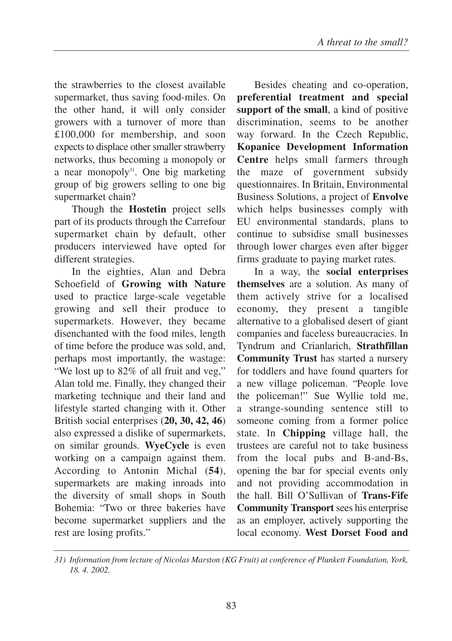the strawberries to the closest available supermarket, thus saving food-miles. On the other hand, it will only consider growers with a turnover of more than £100,000 for membership, and soon expects to displace other smaller strawberry networks, thus becoming a monopoly or a near monopoly $31$ . One big marketing group of big growers selling to one big supermarket chain?

Though the **Hostetin** project sells part of its products through the Carrefour supermarket chain by default, other producers interviewed have opted for different strategies.

In the eighties, Alan and Debra Schoefield of **Growing with Nature** used to practice large-scale vegetable growing and sell their produce to supermarkets. However, they became disenchanted with the food miles, length of time before the produce was sold, and, perhaps most importantly, the wastage: "We lost up to 82% of all fruit and veg," Alan told me. Finally, they changed their marketing technique and their land and lifestyle started changing with it. Other British social enterprises (**20, 30, 42, 46**) also expressed a dislike of supermarkets, on similar grounds. **WyeCycle** is even working on a campaign against them. According to Antonin Michal (**54**), supermarkets are making inroads into the diversity of small shops in South Bohemia: "Two or three bakeries have become supermarket suppliers and the rest are losing profits."

Besides cheating and co-operation, **preferential treatment and special support of the small**, a kind of positive discrimination, seems to be another way forward. In the Czech Republic, **Kopanice Development Information Centre** helps small farmers through the maze of government subsidy questionnaires. In Britain, Environmental Business Solutions, a project of **Envolve** which helps businesses comply with EU environmental standards, plans to continue to subsidise small businesses through lower charges even after bigger firms graduate to paying market rates.

In a way, the **social enterprises themselves** are a solution. As many of them actively strive for a localised economy, they present a tangible alternative to a globalised desert of giant companies and faceless bureaucracies. In Tyndrum and Crianlarich, **Strathfillan Community Trust** has started a nursery for toddlers and have found quarters for a new village policeman. "People love the policeman!" Sue Wyllie told me, a strange-sounding sentence still to someone coming from a former police state. In **Chipping** village hall, the trustees are careful not to take business from the local pubs and B-and-Bs, opening the bar for special events only and not providing accommodation in the hall. Bill O'Sullivan of **Trans-Fife Community Transport** sees his enterprise as an employer, actively supporting the local economy. **West Dorset Food and**

*<sup>31)</sup> Information from lecture of Nicolas Marston (KG Fruit) at conference of Plunkett Foundation, York, 18. 4. 2002.*